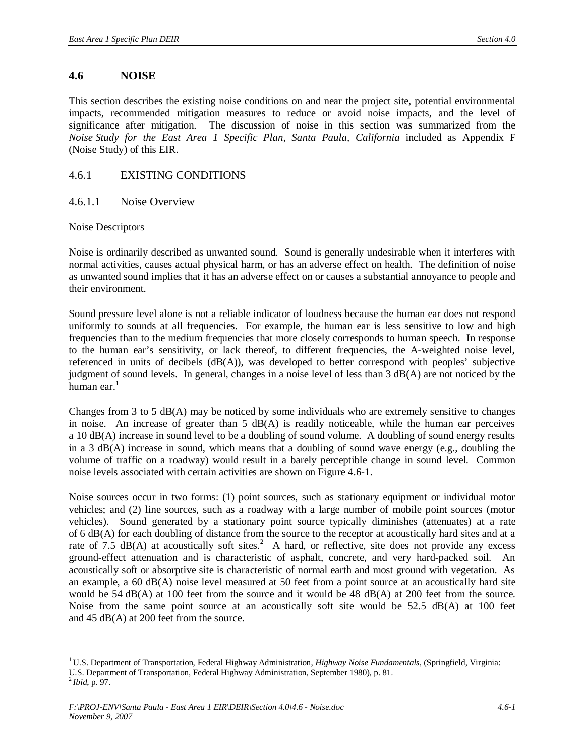## **4.6 NOISE**

This section describes the existing noise conditions on and near the project site, potential environmental impacts, recommended mitigation measures to reduce or avoid noise impacts, and the level of significance after mitigation. The discussion of noise in this section was summarized from the *Noise Study for the East Area 1 Specific Plan, Santa Paula, California* included as Appendix F (Noise Study) of this EIR.

# 4.6.1 EXISTING CONDITIONS

#### 4.6.1.1 Noise Overview

#### Noise Descriptors

Noise is ordinarily described as unwanted sound. Sound is generally undesirable when it interferes with normal activities, causes actual physical harm, or has an adverse effect on health. The definition of noise as unwanted sound implies that it has an adverse effect on or causes a substantial annoyance to people and their environment.

Sound pressure level alone is not a reliable indicator of loudness because the human ear does not respond uniformly to sounds at all frequencies. For example, the human ear is less sensitive to low and high frequencies than to the medium frequencies that more closely corresponds to human speech. In response to the human ear's sensitivity, or lack thereof, to different frequencies, the A-weighted noise level, referenced in units of decibels (dB(A)), was developed to better correspond with peoples' subjective judgment of sound levels. In general, changes in a noise level of less than 3 dB(A) are not noticed by the human ear. $<sup>1</sup>$ </sup>

Changes from 3 to 5 dB(A) may be noticed by some individuals who are extremely sensitive to changes in noise. An increase of greater than  $5 \text{ dB}(A)$  is readily noticeable, while the human ear perceives a 10 dB(A) increase in sound level to be a doubling of sound volume. A doubling of sound energy results in a 3 dB(A) increase in sound, which means that a doubling of sound wave energy (e.g., doubling the volume of traffic on a roadway) would result in a barely perceptible change in sound level. Common noise levels associated with certain activities are shown on Figure 4.6-1.

Noise sources occur in two forms: (1) point sources, such as stationary equipment or individual motor vehicles; and (2) line sources, such as a roadway with a large number of mobile point sources (motor vehicles). Sound generated by a stationary point source typically diminishes (attenuates) at a rate of 6 dB(A) for each doubling of distance from the source to the receptor at acoustically hard sites and at a rate of 7.5  $\text{dB}(A)$  at acoustically soft sites.<sup>2</sup> A hard, or reflective, site does not provide any excess ground-effect attenuation and is characteristic of asphalt, concrete, and very hard-packed soil. An acoustically soft or absorptive site is characteristic of normal earth and most ground with vegetation. As an example, a 60 dB(A) noise level measured at 50 feet from a point source at an acoustically hard site would be 54 dB(A) at 100 feet from the source and it would be 48 dB(A) at 200 feet from the source. Noise from the same point source at an acoustically soft site would be 52.5 dB(A) at 100 feet and 45 dB(A) at 200 feet from the source.

<sup>&</sup>lt;sup>1</sup> U.S. Department of Transportation, Federal Highway Administration, *Highway Noise Fundamentals*, (Springfield, Virginia: U.S. Department of Transportation, Federal Highway Administration, September 1980), p. 81.

 $^{2}$ *Ibid*, p. 97.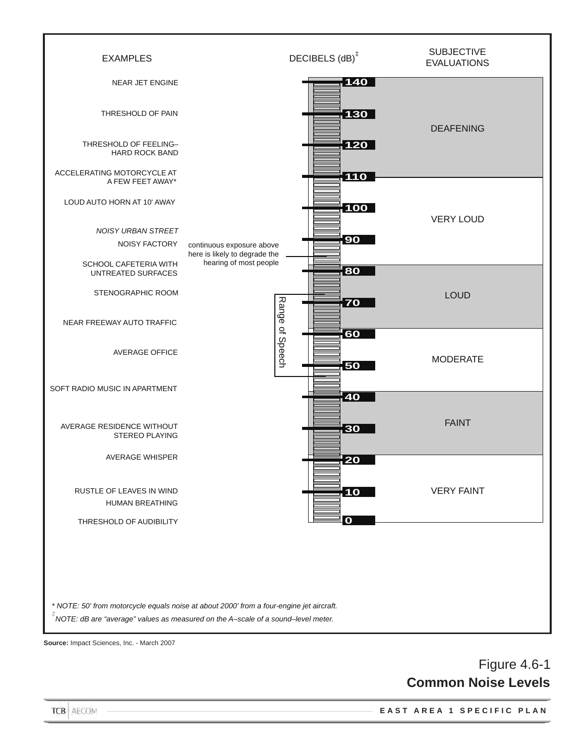

**Source:** Impact Sciences, Inc. - March 2007

# Figure 4.6-1 **Common Noise Levels**

**E A S T A R E A 1 S P E C I F I C P L A N**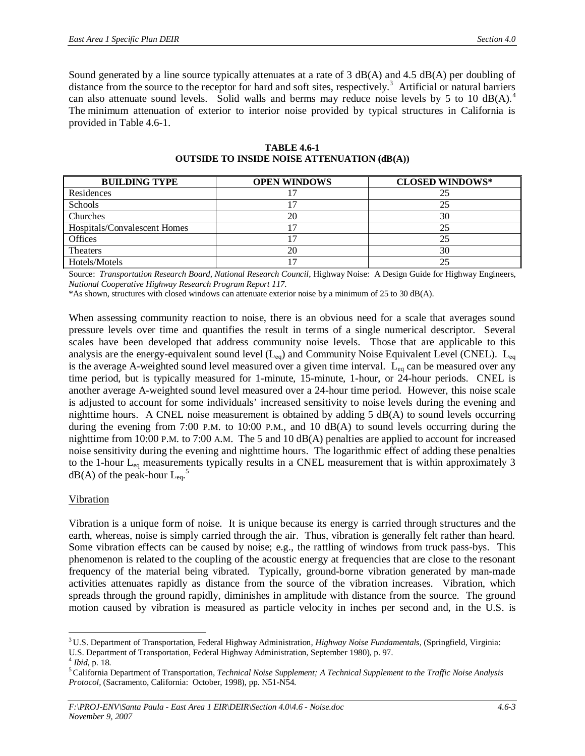Sound generated by a line source typically attenuates at a rate of 3 dB(A) and 4.5 dB(A) per doubling of distance from the source to the receptor for hard and soft sites, respectively.<sup>3</sup> Artificial or natural barriers can also attenuate sound levels. Solid walls and berms may reduce noise levels by 5 to 10  $dB(A)$ .<sup>4</sup> The minimum attenuation of exterior to interior noise provided by typical structures in California is provided in Table 4.6-1.

| <b>BUILDING TYPE</b>         | <b>OPEN WINDOWS</b> | <b>CLOSED WINDOWS*</b> |
|------------------------------|---------------------|------------------------|
| Residences                   |                     |                        |
| Schools                      |                     | 25                     |
| Churches                     | 20                  | 30                     |
| Hospitals/Convalescent Homes |                     | 25                     |
| <b>Offices</b>               |                     | 25                     |
| <b>Theaters</b>              | 20                  | 30                     |
| Hotels/Motels                |                     | 25                     |

**TABLE 4.6-1 OUTSIDE TO INSIDE NOISE ATTENUATION (dB(A))**

Source: *Transportation Research Board, National Research Council*, Highway Noise: A Design Guide for Highway Engineers, *National Cooperative Highway Research Program Report 117.*

\*As shown, structures with closed windows can attenuate exterior noise by a minimum of 25 to 30 dB(A).

When assessing community reaction to noise, there is an obvious need for a scale that averages sound pressure levels over time and quantifies the result in terms of a single numerical descriptor. Several scales have been developed that address community noise levels. Those that are applicable to this analysis are the energy-equivalent sound level  $(L_{eq})$  and Community Noise Equivalent Level (CNEL).  $L_{eq}$ is the average A-weighted sound level measured over a given time interval. L<sub>eq</sub> can be measured over any time period, but is typically measured for 1-minute, 15-minute, 1-hour, or 24-hour periods. CNEL is another average A-weighted sound level measured over a 24-hour time period. However, this noise scale is adjusted to account for some individuals' increased sensitivity to noise levels during the evening and nighttime hours. A CNEL noise measurement is obtained by adding 5 dB(A) to sound levels occurring during the evening from 7:00 P.M. to 10:00 P.M., and 10 dB(A) to sound levels occurring during the nighttime from 10:00 P.M. to 7:00 A.M. The 5 and 10 dB(A) penalties are applied to account for increased noise sensitivity during the evening and nighttime hours. The logarithmic effect of adding these penalties to the 1-hour  $L_{eq}$  measurements typically results in a CNEL measurement that is within approximately 3  $dB(A)$  of the peak-hour  $L_{eq}$ .<sup>5</sup>

# Vibration

Vibration is a unique form of noise. It is unique because its energy is carried through structures and the earth, whereas, noise is simply carried through the air. Thus, vibration is generally felt rather than heard. Some vibration effects can be caused by noise; e.g., the rattling of windows from truck pass-bys. This phenomenon is related to the coupling of the acoustic energy at frequencies that are close to the resonant frequency of the material being vibrated. Typically, ground-borne vibration generated by man-made activities attenuates rapidly as distance from the source of the vibration increases. Vibration, which spreads through the ground rapidly, diminishes in amplitude with distance from the source. The ground motion caused by vibration is measured as particle velocity in inches per second and, in the U.S. is

<sup>3</sup> U.S. Department of Transportation, Federal Highway Administration, *Highway Noise Fundamentals*, (Springfield, Virginia: U.S. Department of Transportation, Federal Highway Administration, September 1980), p. 97.

<sup>4</sup> *Ibid,* p. 18.

<sup>5</sup>California Department of Transportation, *Technical Noise Supplement; A Technical Supplement to the Traffic Noise Analysis Protocol,* (Sacramento, California: October, 1998), pp. N51-N54.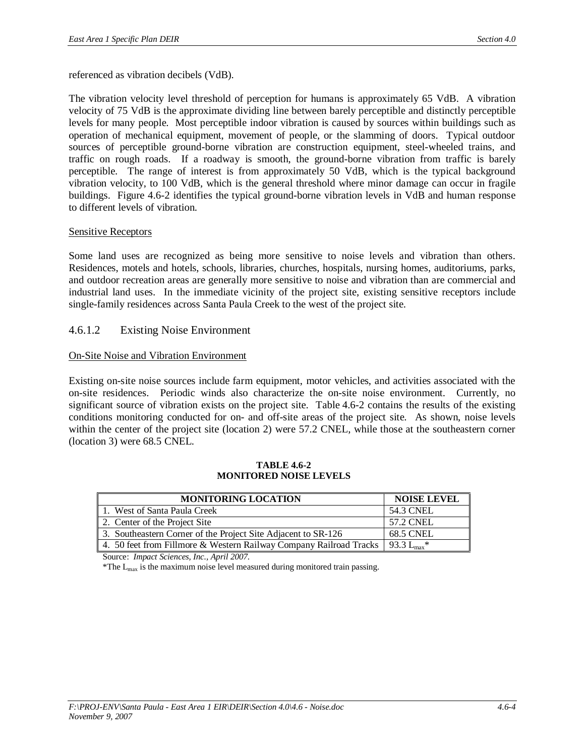referenced as vibration decibels (VdB).

The vibration velocity level threshold of perception for humans is approximately 65 VdB. A vibration velocity of 75 VdB is the approximate dividing line between barely perceptible and distinctly perceptible levels for many people. Most perceptible indoor vibration is caused by sources within buildings such as operation of mechanical equipment, movement of people, or the slamming of doors. Typical outdoor sources of perceptible ground-borne vibration are construction equipment, steel-wheeled trains, and traffic on rough roads. If a roadway is smooth, the ground-borne vibration from traffic is barely perceptible. The range of interest is from approximately 50 VdB, which is the typical background vibration velocity, to 100 VdB, which is the general threshold where minor damage can occur in fragile buildings. Figure 4.6-2 identifies the typical ground-borne vibration levels in VdB and human response to different levels of vibration.

#### Sensitive Receptors

Some land uses are recognized as being more sensitive to noise levels and vibration than others. Residences, motels and hotels, schools, libraries, churches, hospitals, nursing homes, auditoriums, parks, and outdoor recreation areas are generally more sensitive to noise and vibration than are commercial and industrial land uses. In the immediate vicinity of the project site, existing sensitive receptors include single-family residences across Santa Paula Creek to the west of the project site.

# 4.6.1.2 Existing Noise Environment

#### On-Site Noise and Vibration Environment

Existing on-site noise sources include farm equipment, motor vehicles, and activities associated with the on-site residences. Periodic winds also characterize the on-site noise environment. Currently, no significant source of vibration exists on the project site. Table 4.6-2 contains the results of the existing conditions monitoring conducted for on- and off-site areas of the project site. As shown, noise levels within the center of the project site (location 2) were 57.2 CNEL, while those at the southeastern corner (location 3) were 68.5 CNEL.

| <b>MONITORING LOCATION</b>                                         | <b>NOISE LEVEL</b>                    |
|--------------------------------------------------------------------|---------------------------------------|
| 1. West of Santa Paula Creek                                       | 54.3 CNEL                             |
| 2. Center of the Project Site                                      | 57.2 CNEL                             |
| 3. Southeastern Corner of the Project Site Adjacent to SR-126      | <b>68.5 CNEL</b>                      |
| 4. 50 feet from Fillmore & Western Railway Company Railroad Tracks | $193.3$ L <sub>max</sub> <sup>*</sup> |

#### **TABLE 4.6-2 MONITORED NOISE LEVELS**

Source: *Impact Sciences, Inc., April 2007*.

\*The  $L_{max}$  is the maximum noise level measured during monitored train passing.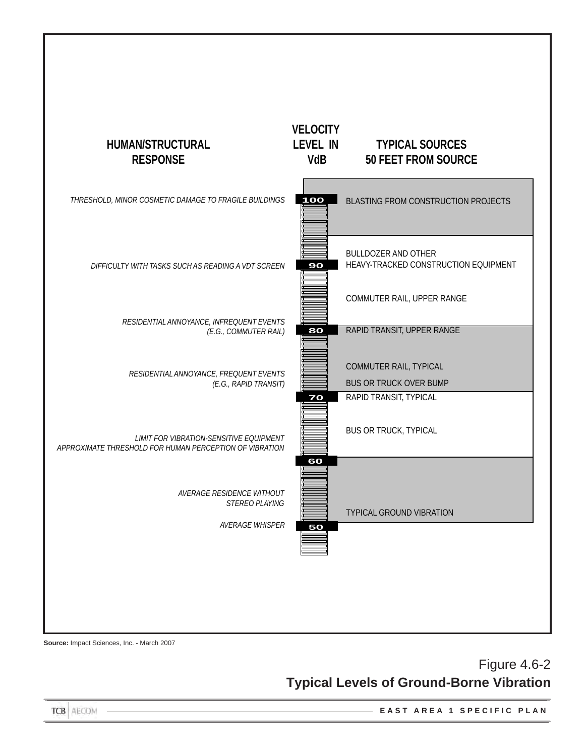

**Source:** Impact Sciences, Inc. - March 2007

# Figure 4.6-2 **Typical Levels of Ground-Borne Vibration**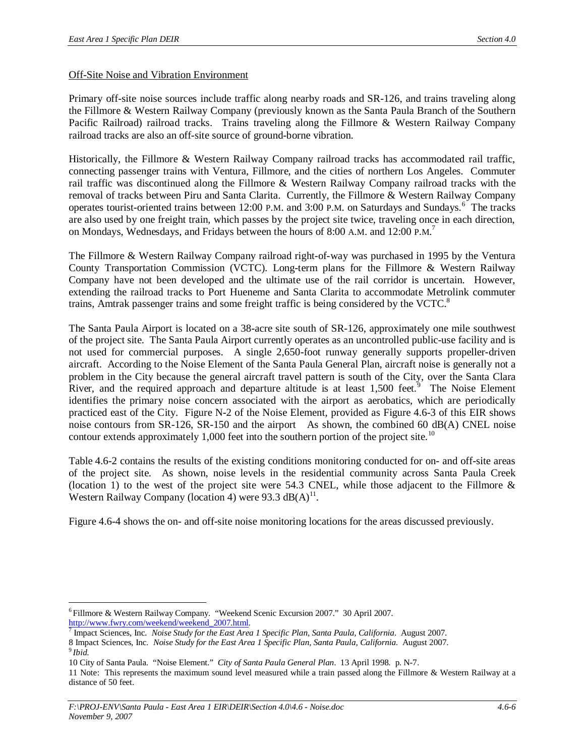#### Off-Site Noise and Vibration Environment

Primary off-site noise sources include traffic along nearby roads and SR-126, and trains traveling along the Fillmore & Western Railway Company (previously known as the Santa Paula Branch of the Southern Pacific Railroad) railroad tracks. Trains traveling along the Fillmore & Western Railway Company railroad tracks are also an off-site source of ground-borne vibration.

Historically, the Fillmore & Western Railway Company railroad tracks has accommodated rail traffic, connecting passenger trains with Ventura, Fillmore, and the cities of northern Los Angeles. Commuter rail traffic was discontinued along the Fillmore & Western Railway Company railroad tracks with the removal of tracks between Piru and Santa Clarita. Currently, the Fillmore & Western Railway Company operates tourist-oriented trains between 12:00 P.M. and 3:00 P.M. on Saturdays and Sundays.<sup>6</sup> The tracks are also used by one freight train, which passes by the project site twice, traveling once in each direction, on Mondays, Wednesdays, and Fridays between the hours of 8:00 A.M. and 12:00 P.M. 7

The Fillmore & Western Railway Company railroad right-of-way was purchased in 1995 by the Ventura County Transportation Commission (VCTC). Long-term plans for the Fillmore & Western Railway Company have not been developed and the ultimate use of the rail corridor is uncertain. However, extending the railroad tracks to Port Hueneme and Santa Clarita to accommodate Metrolink commuter trains, Amtrak passenger trains and some freight traffic is being considered by the VCTC.<sup>8</sup>

The Santa Paula Airport is located on a 38-acre site south of SR-126, approximately one mile southwest of the project site. The Santa Paula Airport currently operates as an uncontrolled public-use facility and is not used for commercial purposes. A single 2,650-foot runway generally supports propeller-driven aircraft. According to the Noise Element of the Santa Paula General Plan, aircraft noise is generally not a problem in the City because the general aircraft travel pattern is south of the City, over the Santa Clara River, and the required approach and departure altitude is at least  $1,500$  feet.<sup>9</sup> The Noise Element identifies the primary noise concern associated with the airport as aerobatics, which are periodically practiced east of the City. Figure N-2 of the Noise Element, provided as Figure 4.6-3 of this EIR shows noise contours from SR-126, SR-150 and the airport As shown, the combined 60 dB(A) CNEL noise contour extends approximately 1,000 feet into the southern portion of the project site.<sup>10</sup>

Table 4.6-2 contains the results of the existing conditions monitoring conducted for on- and off-site areas of the project site. As shown, noise levels in the residential community across Santa Paula Creek (location 1) to the west of the project site were 54.3 CNEL, while those adjacent to the Fillmore  $\&$ Western Railway Company (location 4) were 93.3  $dB(A)^{11}$ .

Figure 4.6-4 shows the on- and off-site noise monitoring locations for the areas discussed previously.

<sup>6</sup> Fillmore & Western Railway Company. "Weekend Scenic Excursion 2007." 30 April 2007. [http://www.fwry.com/weekend/weekend\\_2007.html.](http://www.fwry.com/weekend/weekend_2007.html.)

<sup>7</sup> Impact Sciences, Inc. *Noise Study for the East Area 1 Specific Plan, Santa Paula, California*. August 2007.

<sup>8</sup> Impact Sciences, Inc. *Noise Study for the East Area 1 Specific Plan, Santa Paula, California*. August 2007. 9 *Ibid*.

<sup>10</sup> City of Santa Paula. "Noise Element." *City of Santa Paula General Plan*. 13 April 1998. p. N-7.

<sup>11</sup> Note: This represents the maximum sound level measured while a train passed along the Fillmore & Western Railway at a distance of 50 feet.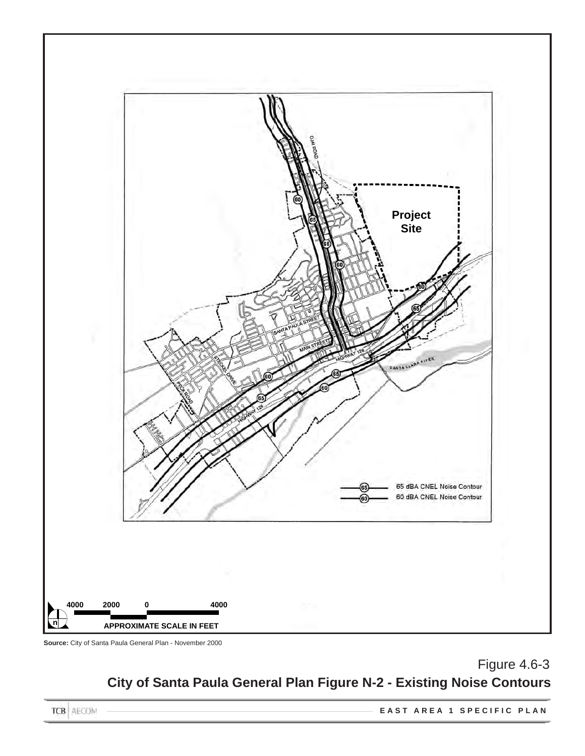

**Source:** City of Santa Paula General Plan - November 2000

# Figure 4.6-3 **City of Santa Paula General Plan Figure N-2 - Existing Noise Contours**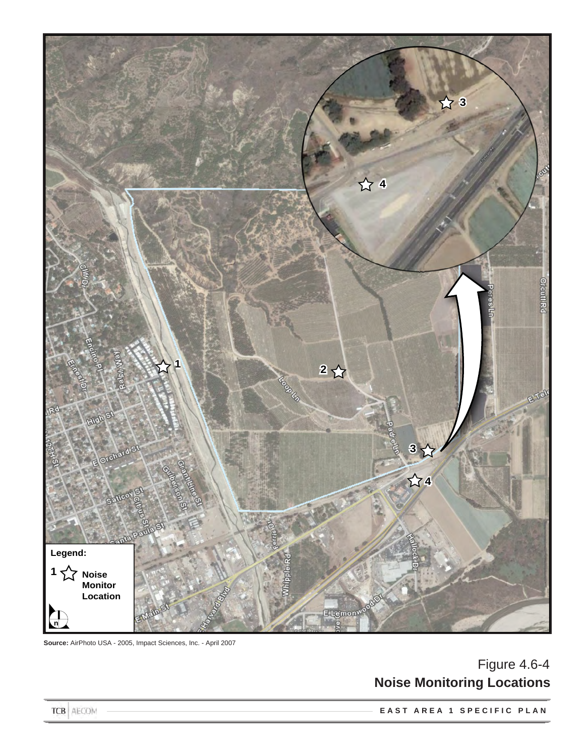

**Source:** AirPhoto USA - 2005, Impact Sciences, Inc. - April 2007

# Figure 4.6-4 **Noise Monitoring Locations**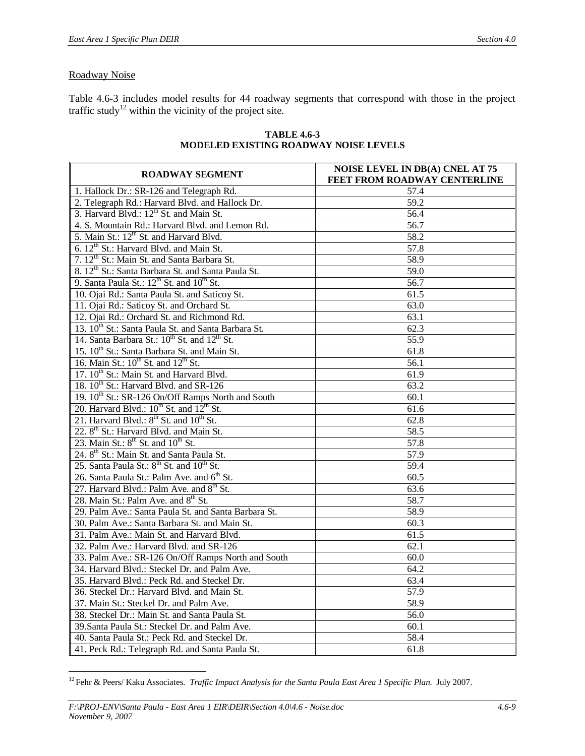# Roadway Noise

Table 4.6-3 includes model results for 44 roadway segments that correspond with those in the project traffic study<sup>12</sup> within the vicinity of the project site.

| <b>ROADWAY SEGMENT</b>                                               | <b>NOISE LEVEL IN DB(A) CNEL AT 75</b><br>FEET FROM ROADWAY CENTERLINE |  |  |  |  |
|----------------------------------------------------------------------|------------------------------------------------------------------------|--|--|--|--|
| 1. Hallock Dr.: SR-126 and Telegraph Rd.                             | 57.4                                                                   |  |  |  |  |
| 2. Telegraph Rd.: Harvard Blvd. and Hallock Dr.                      | 59.2                                                                   |  |  |  |  |
| 3. Harvard Blvd.: 12 <sup>th</sup> St. and Main St.                  | 56.4                                                                   |  |  |  |  |
| 4. S. Mountain Rd.: Harvard Blvd. and Lemon Rd.                      | 56.7                                                                   |  |  |  |  |
| 5. Main St.: 12 <sup>th</sup> St. and Harvard Blvd.                  | 58.2                                                                   |  |  |  |  |
| 6. $12^{th}$ St.: Harvard Blvd. and Main St.                         | 57.8                                                                   |  |  |  |  |
| 7. 12 <sup>th</sup> St.: Main St. and Santa Barbara St.              | 58.9                                                                   |  |  |  |  |
| 8. 12 <sup>th</sup> St.: Santa Barbara St. and Santa Paula St.       | 59.0                                                                   |  |  |  |  |
| 9. Santa Paula St.: 12 <sup>th</sup> St. and 10 <sup>th</sup> St.    | 56.7                                                                   |  |  |  |  |
| 10. Ojai Rd.: Santa Paula St. and Saticoy St.                        | 61.5                                                                   |  |  |  |  |
| 11. Ojai Rd.: Saticoy St. and Orchard St.                            | 63.0                                                                   |  |  |  |  |
| 12. Ojai Rd.: Orchard St. and Richmond Rd.                           | 63.1                                                                   |  |  |  |  |
| 13. 10 <sup>th</sup> St.: Santa Paula St. and Santa Barbara St.      | 62.3                                                                   |  |  |  |  |
| 14. Santa Barbara St.: 10 <sup>th</sup> St. and 12 <sup>th</sup> St. | 55.9                                                                   |  |  |  |  |
| 15. 10 <sup>th</sup> St.: Santa Barbara St. and Main St.             | 61.8                                                                   |  |  |  |  |
| 16. Main St.: 10 <sup>th</sup> St. and 12 <sup>th</sup> St.          | 56.1                                                                   |  |  |  |  |
| 17. 10 <sup>th</sup> St.: Main St. and Harvard Blvd.                 | 61.9                                                                   |  |  |  |  |
| 18. 10 <sup>th</sup> St.: Harvard Blvd. and SR-126                   | 63.2                                                                   |  |  |  |  |
| 19. 10 <sup>th</sup> St.: SR-126 On/Off Ramps North and South        | 60.1                                                                   |  |  |  |  |
| 20. Harvard Blvd.: 10 <sup>th</sup> St. and 12 <sup>th</sup> St.     | 61.6                                                                   |  |  |  |  |
| 21. Harvard Blvd.: 8 <sup>th</sup> St. and 10 <sup>th</sup> St.      | 62.8                                                                   |  |  |  |  |
| 22. 8 <sup>th</sup> St.: Harvard Blvd. and Main St.                  | 58.5                                                                   |  |  |  |  |
| 23. Main St.: $8^{th}$ St. and $10^{th}$ St.                         | 57.8                                                                   |  |  |  |  |
| 24. 8 <sup>th</sup> St.: Main St. and Santa Paula St.                | 57.9                                                                   |  |  |  |  |
| 25. Santa Paula St.: 8 <sup>th</sup> St. and 10 <sup>th</sup> St.    | 59.4                                                                   |  |  |  |  |
| 26. Santa Paula St.: Palm Ave. and 6 <sup>th</sup> St.               | 60.5                                                                   |  |  |  |  |
| 27. Harvard Blvd.: Palm Ave. and 8 <sup>th</sup> St.                 | 63.6                                                                   |  |  |  |  |
| 28. Main St.: Palm Ave. and 8 <sup>th</sup> St.                      | 58.7                                                                   |  |  |  |  |
| 29. Palm Ave.: Santa Paula St. and Santa Barbara St.                 | 58.9                                                                   |  |  |  |  |
| 30. Palm Ave.: Santa Barbara St. and Main St.                        | 60.3                                                                   |  |  |  |  |
| 31. Palm Ave.: Main St. and Harvard Blvd.                            | 61.5                                                                   |  |  |  |  |
| 32. Palm Ave.: Harvard Blvd. and SR-126                              | 62.1                                                                   |  |  |  |  |
| 33. Palm Ave.: SR-126 On/Off Ramps North and South                   | 60.0                                                                   |  |  |  |  |
| 34. Harvard Blvd.: Steckel Dr. and Palm Ave.                         | 64.2                                                                   |  |  |  |  |
| 35. Harvard Blvd.: Peck Rd. and Steckel Dr.                          | 63.4                                                                   |  |  |  |  |
| 36. Steckel Dr.: Harvard Blvd. and Main St.                          | 57.9                                                                   |  |  |  |  |
| 37. Main St.: Steckel Dr. and Palm Ave.                              | 58.9                                                                   |  |  |  |  |
| 38. Steckel Dr.: Main St. and Santa Paula St.                        | 56.0                                                                   |  |  |  |  |
| 39. Santa Paula St.: Steckel Dr. and Palm Ave.                       | 60.1                                                                   |  |  |  |  |
| 40. Santa Paula St.: Peck Rd. and Steckel Dr.                        | 58.4                                                                   |  |  |  |  |
| 41. Peck Rd.: Telegraph Rd. and Santa Paula St.                      | 61.8                                                                   |  |  |  |  |

#### **TABLE 4.6-3 MODELED EXISTING ROADWAY NOISE LEVELS**

<sup>12</sup> Fehr & Peers/ Kaku Associates. *Traffic Impact Analysis for the Santa Paula East Area 1 Specific Plan*. July 2007.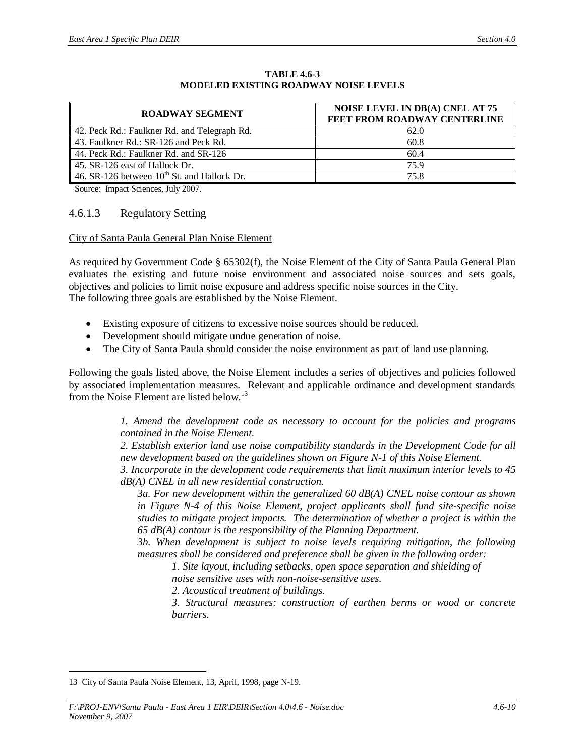| <b>ROADWAY SEGMENT</b>                           | <b>NOISE LEVEL IN DB(A) CNEL AT 75</b><br>FEET FROM ROADWAY CENTERLINE |
|--------------------------------------------------|------------------------------------------------------------------------|
| 42. Peck Rd.: Faulkner Rd. and Telegraph Rd.     | 62.0                                                                   |
| 43. Faulkner Rd.: SR-126 and Peck Rd.            | 60.8                                                                   |
| 44. Peck Rd.: Faulkner Rd. and SR-126            | 60.4                                                                   |
| 45. SR-126 east of Hallock Dr.                   | 75.9                                                                   |
| 46. SR-126 between $10^{th}$ St. and Hallock Dr. | 75.8                                                                   |

#### **TABLE 4.6-3 MODELED EXISTING ROADWAY NOISE LEVELS**

Source: Impact Sciences, July 2007.

#### 4.6.1.3 Regulatory Setting

#### City of Santa Paula General Plan Noise Element

As required by Government Code § 65302(f), the Noise Element of the City of Santa Paula General Plan evaluates the existing and future noise environment and associated noise sources and sets goals, objectives and policies to limit noise exposure and address specific noise sources in the City. The following three goals are established by the Noise Element.

- Existing exposure of citizens to excessive noise sources should be reduced.
- Development should mitigate undue generation of noise.
- The City of Santa Paula should consider the noise environment as part of land use planning.

Following the goals listed above, the Noise Element includes a series of objectives and policies followed by associated implementation measures. Relevant and applicable ordinance and development standards from the Noise Element are listed below.<sup>13</sup>

> *1. Amend the development code as necessary to account for the policies and programs contained in the Noise Element.*

> *2. Establish exterior land use noise compatibility standards in the Development Code for all new development based on the guidelines shown on Figure N-1 of this Noise Element.*

> *3. Incorporate in the development code requirements that limit maximum interior levels to 45 dB(A) CNEL in all new residential construction.*

*3a. For new development within the generalized 60 dB(A) CNEL noise contour as shown in Figure N-4 of this Noise Element, project applicants shall fund site-specific noise studies to mitigate project impacts. The determination of whether a project is within the 65 dB(A) contour is the responsibility of the Planning Department.*

*3b. When development is subject to noise levels requiring mitigation, the following measures shall be considered and preference shall be given in the following order:*

*1. Site layout, including setbacks, open space separation and shielding of*

*noise sensitive uses with non-noise-sensitive uses.*

*2. Acoustical treatment of buildings.*

*3. Structural measures: construction of earthen berms or wood or concrete barriers.*

<sup>13</sup> City of Santa Paula Noise Element, 13, April, 1998, page N-19.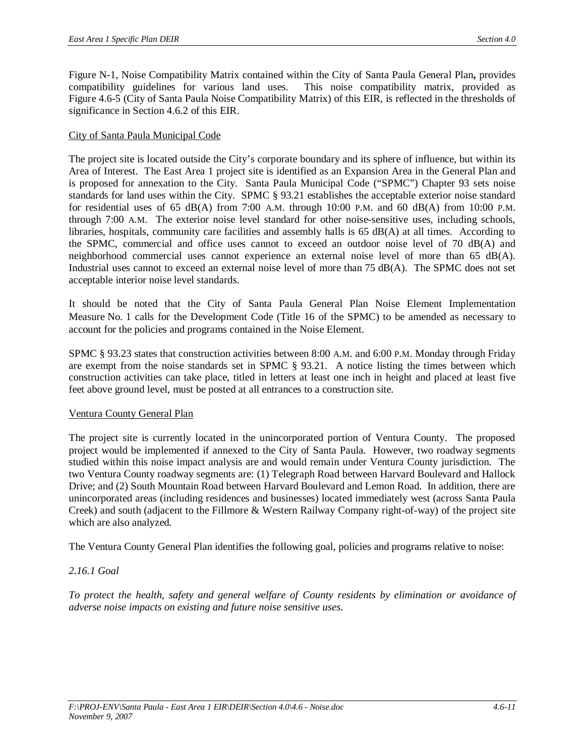Figure N-1, Noise Compatibility Matrix contained within the City of Santa Paula General Plan**,** provides compatibility guidelines for various land uses. This noise compatibility matrix, provided as Figure 4.6-5 (City of Santa Paula Noise Compatibility Matrix) of this EIR, is reflected in the thresholds of significance in Section 4.6.2 of this EIR.

#### City of Santa Paula Municipal Code

The project site is located outside the City's corporate boundary and its sphere of influence, but within its Area of Interest. The East Area 1 project site is identified as an Expansion Area in the General Plan and is proposed for annexation to the City. Santa Paula Municipal Code ("SPMC") Chapter 93 sets noise standards for land uses within the City. SPMC § 93.21 establishes the acceptable exterior noise standard for residential uses of 65 dB(A) from 7:00 A.M. through 10:00 P.M. and 60 dB(A) from 10:00 P.M. through 7:00 A.M. The exterior noise level standard for other noise-sensitive uses, including schools, libraries, hospitals, community care facilities and assembly halls is 65 dB(A) at all times. According to the SPMC, commercial and office uses cannot to exceed an outdoor noise level of 70 dB(A) and neighborhood commercial uses cannot experience an external noise level of more than 65 dB(A). Industrial uses cannot to exceed an external noise level of more than 75 dB(A). The SPMC does not set acceptable interior noise level standards.

It should be noted that the City of Santa Paula General Plan Noise Element Implementation Measure No. 1 calls for the Development Code (Title 16 of the SPMC) to be amended as necessary to account for the policies and programs contained in the Noise Element.

SPMC § 93.23 states that construction activities between 8:00 A.M. and 6:00 P.M. Monday through Friday are exempt from the noise standards set in SPMC § 93.21. A notice listing the times between which construction activities can take place, titled in letters at least one inch in height and placed at least five feet above ground level, must be posted at all entrances to a construction site.

#### Ventura County General Plan

The project site is currently located in the unincorporated portion of Ventura County. The proposed project would be implemented if annexed to the City of Santa Paula. However, two roadway segments studied within this noise impact analysis are and would remain under Ventura County jurisdiction. The two Ventura County roadway segments are: (1) Telegraph Road between Harvard Boulevard and Hallock Drive; and (2) South Mountain Road between Harvard Boulevard and Lemon Road. In addition, there are unincorporated areas (including residences and businesses) located immediately west (across Santa Paula Creek) and south (adjacent to the Fillmore & Western Railway Company right-of-way) of the project site which are also analyzed.

The Ventura County General Plan identifies the following goal, policies and programs relative to noise:

# *2.16.1 Goal*

*To protect the health, safety and general welfare of County residents by elimination or avoidance of adverse noise impacts on existing and future noise sensitive uses.*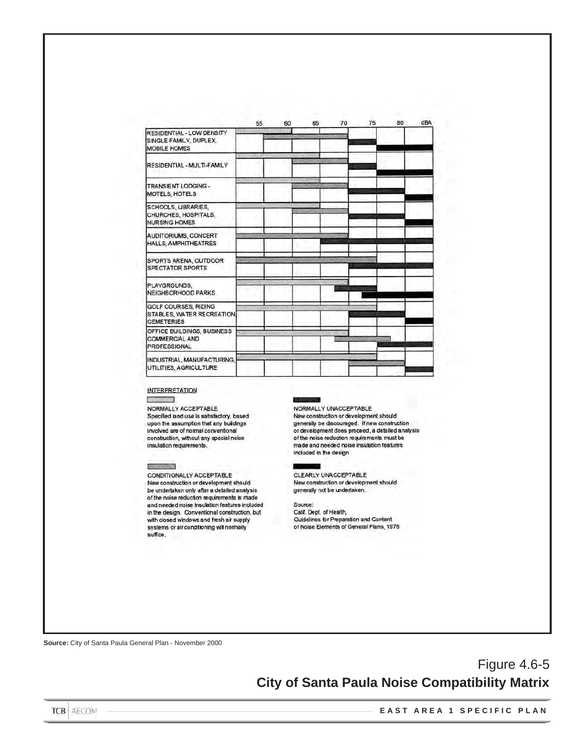|                                                                            | 55             | 60 | 65                          | 70                  | 75                                 | 80                       | dBA |
|----------------------------------------------------------------------------|----------------|----|-----------------------------|---------------------|------------------------------------|--------------------------|-----|
| RESIDENTIAL - LOW DENSITY<br>SINGLE FAMILY, DUPLEX.<br><b>MOBILE HOMES</b> |                |    |                             | <u>MAAMMANAMANA</u> | <u>in Saanas.</u>                  |                          |     |
| RESIDENTIAL - MULTI-FAMILY                                                 |                |    | <u>raanaanaanaa maraara</u> |                     |                                    |                          |     |
| TRANSIENT LODGING -<br>MOTELS, HOTELS                                      |                |    | AMAANII MINTI MINTI MINTI   |                     | international communication        |                          |     |
| SCHOOLS, UBRARIES,<br>CHURCHES, HOSPITALS,<br><b>NURSING HOMES</b>         |                |    | SAANAANAANAANAANAANAAN      |                     |                                    |                          |     |
| AUDITORIUMS, CONCERT<br>HALLS, AMPHITHEATRES                               |                |    |                             |                     |                                    | <u>maa mid ka uu maa</u> |     |
| SPORTS ARENA, OUTDOOR<br><b>SPECTATOR SPORTS</b>                           | <u>William</u> |    | <u>mmunaliki</u>            |                     |                                    |                          |     |
| PLAYGROUNDS.<br>NEIGHBORHOOD PARKS                                         |                |    |                             |                     |                                    |                          |     |
| GOLF COURSES, RIDING<br>STABLES, WATER RECREATION,<br><b>CEMETERIES</b>    |                |    |                             |                     |                                    |                          |     |
| OFFICE BUILDINGS, BUSINESS<br><b>COMMERCIAL AND</b><br><b>PROFESSIONAL</b> |                |    |                             |                     | <i>'anno ammoniumano</i>           |                          |     |
| INDUSTRIAL, MANUFACTURING,<br>UTILITIES, AGRICULTURE                       |                |    |                             |                     | <u>Elitteriikko konstantinin k</u> |                          |     |

#### **INTERPRETATION**

E 

NORMALLY ACCEPTABLE Specified land use is satisfactory, based upon the assumption that any buildings involved are of normal conventional construction, without any special noise insulation requirements.

#### MUNICIANINIA

CONDITIONALLY ACCEPTABLE New construction or development should be undertaken only after a detailed analysis of the noise reduction requirements is made and needed noise insulation features included in the design. Conventional construction, but with closed windows and fresh air supply systems or air conditioning will normally suffice.

NORMALLY UNACCEPTABLE New construction or development should generally be discouraged. If new construction or development does proceed, a detailed analysis of the noise reduction requirements must be made and needed noise insulation features included in the design

CLEARLY UNACCEPTABLE New construction or development should generally not be undertaken.

Source: Calif. Dept. of Health,<br>Guidelines for Preparation and Content of Noise Elements of General Plans, 1976

**Source:** City of Santa Paula General Plan - November 2000

Figure 4.6-5 **City of Santa Paula Noise Compatibility Matrix**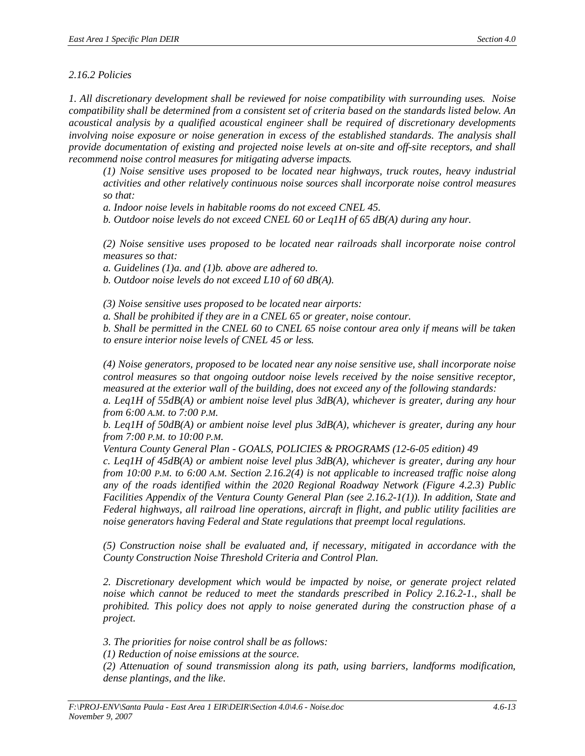#### *2.16.2 Policies*

*1. All discretionary development shall be reviewed for noise compatibility with surrounding uses. Noise compatibility shall be determined from a consistent set of criteria based on the standards listed below. An acoustical analysis by a qualified acoustical engineer shall be required of discretionary developments involving noise exposure or noise generation in excess of the established standards. The analysis shall provide documentation of existing and projected noise levels at on-site and off-site receptors, and shall recommend noise control measures for mitigating adverse impacts.*

*(1) Noise sensitive uses proposed to be located near highways, truck routes, heavy industrial activities and other relatively continuous noise sources shall incorporate noise control measures so that:*

*a. Indoor noise levels in habitable rooms do not exceed CNEL 45.*

*b. Outdoor noise levels do not exceed CNEL 60 or Leq1H of 65 dB(A) during any hour.*

*(2) Noise sensitive uses proposed to be located near railroads shall incorporate noise control measures so that:*

*a. Guidelines (1)a. and (1)b. above are adhered to.*

*b. Outdoor noise levels do not exceed L10 of 60 dB(A).*

*(3) Noise sensitive uses proposed to be located near airports:*

*a. Shall be prohibited if they are in a CNEL 65 or greater, noise contour.*

*b. Shall be permitted in the CNEL 60 to CNEL 65 noise contour area only if means will be taken to ensure interior noise levels of CNEL 45 or less.*

*(4) Noise generators, proposed to be located near any noise sensitive use, shall incorporate noise control measures so that ongoing outdoor noise levels received by the noise sensitive receptor, measured at the exterior wall of the building, does not exceed any of the following standards:*

*a. Leq1H of 55dB(A) or ambient noise level plus 3dB(A), whichever is greater, during any hour from 6:00 A.M. to 7:00 P.M.*

*b. Leq1H of 50dB(A) or ambient noise level plus 3dB(A), whichever is greater, during any hour from 7:00 P.M. to 10:00 P.M.*

*Ventura County General Plan - GOALS, POLICIES & PROGRAMS (12-6-05 edition) 49 c. Leq1H of 45dB(A) or ambient noise level plus 3dB(A), whichever is greater, during any hour from 10:00 P.M. to 6:00 A.M. Section 2.16.2(4) is not applicable to increased traffic noise along any of the roads identified within the 2020 Regional Roadway Network (Figure 4.2.3) Public Facilities Appendix of the Ventura County General Plan (see 2.16.2-1(1)). In addition, State and Federal highways, all railroad line operations, aircraft in flight, and public utility facilities are noise generators having Federal and State regulations that preempt local regulations.*

*(5) Construction noise shall be evaluated and, if necessary, mitigated in accordance with the County Construction Noise Threshold Criteria and Control Plan.*

*2. Discretionary development which would be impacted by noise, or generate project related noise which cannot be reduced to meet the standards prescribed in Policy 2.16.2-1., shall be prohibited. This policy does not apply to noise generated during the construction phase of a project.*

*3. The priorities for noise control shall be as follows:*

*(1) Reduction of noise emissions at the source.*

*(2) Attenuation of sound transmission along its path, using barriers, landforms modification, dense plantings, and the like.*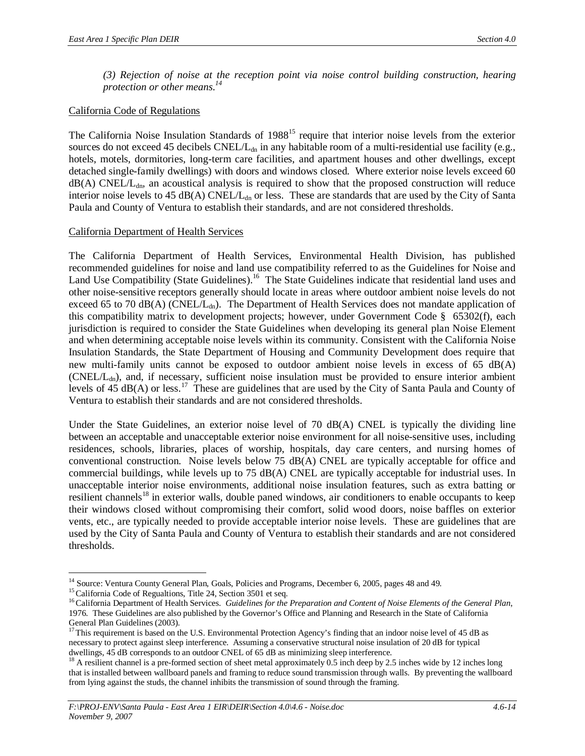*(3) Rejection of noise at the reception point via noise control building construction, hearing protection or other means.<sup>14</sup>*

## California Code of Regulations

The California Noise Insulation Standards of 1988<sup>15</sup> require that interior noise levels from the exterior sources do not exceed 45 decibels CNEL/L<sub>dn</sub> in any habitable room of a multi-residential use facility (e.g., hotels, motels, dormitories, long-term care facilities, and apartment houses and other dwellings, except detached single-family dwellings) with doors and windows closed. Where exterior noise levels exceed 60  $dB(A)$  CNEL/L<sub>dn</sub>, an acoustical analysis is required to show that the proposed construction will reduce interior noise levels to 45 dB(A)  $CNEL/L_{dn}$  or less. These are standards that are used by the City of Santa Paula and County of Ventura to establish their standards, and are not considered thresholds.

#### California Department of Health Services

The California Department of Health Services, Environmental Health Division, has published recommended guidelines for noise and land use compatibility referred to as the Guidelines for Noise and Land Use Compatibility (State Guidelines).<sup>16</sup> The State Guidelines indicate that residential land uses and other noise-sensitive receptors generally should locate in areas where outdoor ambient noise levels do not exceed 65 to 70 dB(A) (CNEL/L<sub>dn</sub>). The Department of Health Services does not mandate application of this compatibility matrix to development projects; however, under Government Code § 65302(f), each jurisdiction is required to consider the State Guidelines when developing its general plan Noise Element and when determining acceptable noise levels within its community. Consistent with the California Noise Insulation Standards, the State Department of Housing and Community Development does require that new multi-family units cannot be exposed to outdoor ambient noise levels in excess of 65 dB(A)  $(CNEL/L<sub>dn</sub>)$ , and, if necessary, sufficient noise insulation must be provided to ensure interior ambient levels of 45 dB(A) or less.<sup>17</sup> These are guidelines that are used by the City of Santa Paula and County of Ventura to establish their standards and are not considered thresholds.

Under the State Guidelines, an exterior noise level of 70 dB(A) CNEL is typically the dividing line between an acceptable and unacceptable exterior noise environment for all noise-sensitive uses, including residences, schools, libraries, places of worship, hospitals, day care centers, and nursing homes of conventional construction. Noise levels below 75 dB(A) CNEL are typically acceptable for office and commercial buildings, while levels up to 75 dB(A) CNEL are typically acceptable for industrial uses. In unacceptable interior noise environments, additional noise insulation features, such as extra batting or resilient channels<sup>18</sup> in exterior walls, double paned windows, air conditioners to enable occupants to keep their windows closed without compromising their comfort, solid wood doors, noise baffles on exterior vents, etc., are typically needed to provide acceptable interior noise levels. These are guidelines that are used by the City of Santa Paula and County of Ventura to establish their standards and are not considered thresholds.

<sup>&</sup>lt;sup>14</sup> Source: Ventura County General Plan, Goals, Policies and Programs, December 6, 2005, pages 48 and 49.

<sup>&</sup>lt;sup>15</sup> California Code of Regualtions, Title 24, Section 3501 et seq.

<sup>&</sup>lt;sup>16</sup> California Department of Health Services. *Guidelines for the Preparation and Content of Noise Elements of the General Plan*, 1976. These Guidelines are also published by the Governor's Office and Planning and Research in the State of California General Plan Guidelines (2003).

<sup>&</sup>lt;sup>17</sup>This requirement is based on the U.S. Environmental Protection Agency's finding that an indoor noise level of 45 dB as necessary to protect against sleep interference. Assuming a conservative structural noise insulation of 20 dB for typical dwellings, 45 dB corresponds to an outdoor CNEL of 65 dB as minimizing sleep interference.

<sup>&</sup>lt;sup>18</sup> A resilient channel is a pre-formed section of sheet metal approximately 0.5 inch deep by 2.5 inches wide by 12 inches long that is installed between wallboard panels and framing to reduce sound transmission through walls. By preventing the wallboard from lying against the studs, the channel inhibits the transmission of sound through the framing.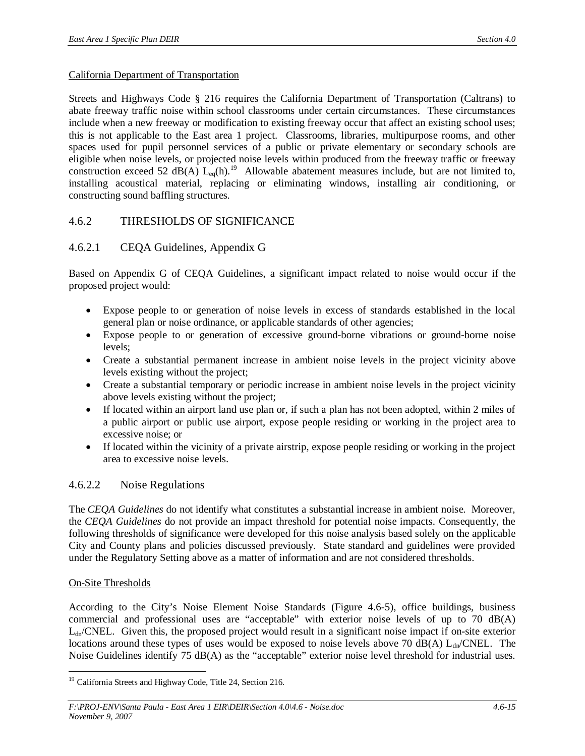#### California Department of Transportation

Streets and Highways Code § 216 requires the California Department of Transportation (Caltrans) to abate freeway traffic noise within school classrooms under certain circumstances. These circumstances include when a new freeway or modification to existing freeway occur that affect an existing school uses; this is not applicable to the East area 1 project. Classrooms, libraries, multipurpose rooms, and other spaces used for pupil personnel services of a public or private elementary or secondary schools are eligible when noise levels, or projected noise levels within produced from the freeway traffic or freeway construction exceed 52 dB(A)  $L_{eq}(h)$ .<sup>19</sup> Allowable abatement measures include, but are not limited to, installing acoustical material, replacing or eliminating windows, installing air conditioning, or constructing sound baffling structures.

# 4.6.2 THRESHOLDS OF SIGNIFICANCE

# 4.6.2.1 CEQA Guidelines, Appendix G

Based on Appendix G of CEQA Guidelines, a significant impact related to noise would occur if the proposed project would:

- Expose people to or generation of noise levels in excess of standards established in the local general plan or noise ordinance, or applicable standards of other agencies;
- Expose people to or generation of excessive ground-borne vibrations or ground-borne noise levels;
- Create a substantial permanent increase in ambient noise levels in the project vicinity above levels existing without the project;
- Create a substantial temporary or periodic increase in ambient noise levels in the project vicinity above levels existing without the project;
- If located within an airport land use plan or, if such a plan has not been adopted, within 2 miles of a public airport or public use airport, expose people residing or working in the project area to excessive noise; or
- If located within the vicinity of a private airstrip, expose people residing or working in the project area to excessive noise levels.

# 4.6.2.2 Noise Regulations

The *CEQA Guidelines* do not identify what constitutes a substantial increase in ambient noise. Moreover, the *CEQA Guidelines* do not provide an impact threshold for potential noise impacts. Consequently, the following thresholds of significance were developed for this noise analysis based solely on the applicable City and County plans and policies discussed previously. State standard and guidelines were provided under the Regulatory Setting above as a matter of information and are not considered thresholds.

# On-Site Thresholds

According to the City's Noise Element Noise Standards (Figure 4.6-5), office buildings, business commercial and professional uses are "acceptable" with exterior noise levels of up to 70 dB(A)  $L_{dn}/CNEL$ . Given this, the proposed project would result in a significant noise impact if on-site exterior locations around these types of uses would be exposed to noise levels above 70 dB(A)  $L_{dn}/CNEL$ . The Noise Guidelines identify 75 dB(A) as the "acceptable" exterior noise level threshold for industrial uses.

<sup>&</sup>lt;sup>19</sup> California Streets and Highway Code, Title 24, Section 216.

*F:\PROJ-ENV\Santa Paula - East Area 1 EIR\DEIR\Section 4.0\4.6 - Noise.doc 4.6-15 November 9, 2007*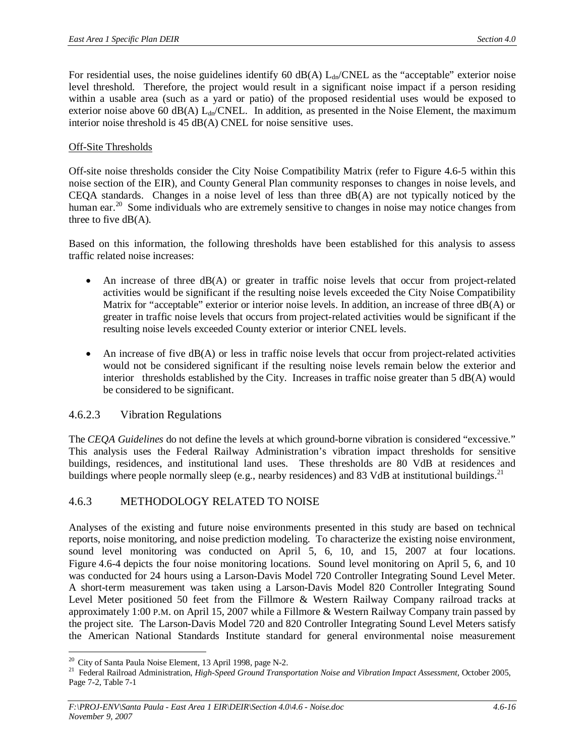For residential uses, the noise guidelines identify 60 dB(A)  $L_{dp}/CNEL$  as the "acceptable" exterior noise level threshold. Therefore, the project would result in a significant noise impact if a person residing within a usable area (such as a yard or patio) of the proposed residential uses would be exposed to exterior noise above 60 dB(A)  $L_{dn}/CNEL$ . In addition, as presented in the Noise Element, the maximum interior noise threshold is 45 dB(A) CNEL for noise sensitive uses.

## Off-Site Thresholds

Off-site noise thresholds consider the City Noise Compatibility Matrix (refer to Figure 4.6-5 within this noise section of the EIR), and County General Plan community responses to changes in noise levels, and CEQA standards. Changes in a noise level of less than three  $dB(A)$  are not typically noticed by the human ear.<sup>20</sup> Some individuals who are extremely sensitive to changes in noise may notice changes from three to five  $dB(A)$ .

Based on this information, the following thresholds have been established for this analysis to assess traffic related noise increases:

- An increase of three  $dB(A)$  or greater in traffic noise levels that occur from project-related activities would be significant if the resulting noise levels exceeded the City Noise Compatibility Matrix for "acceptable" exterior or interior noise levels. In addition, an increase of three dB(A) or greater in traffic noise levels that occurs from project-related activities would be significant if the resulting noise levels exceeded County exterior or interior CNEL levels.
- An increase of five  $dB(A)$  or less in traffic noise levels that occur from project-related activities would not be considered significant if the resulting noise levels remain below the exterior and interior thresholds established by the City. Increases in traffic noise greater than 5 dB(A) would be considered to be significant.

# 4.6.2.3 Vibration Regulations

The *CEQA Guidelines* do not define the levels at which ground-borne vibration is considered "excessive." This analysis uses the Federal Railway Administration's vibration impact thresholds for sensitive buildings, residences, and institutional land uses. These thresholds are 80 VdB at residences and buildings where people normally sleep (e.g., nearby residences) and 83 VdB at institutional buildings.<sup>21</sup>

# 4.6.3 METHODOLOGY RELATED TO NOISE

Analyses of the existing and future noise environments presented in this study are based on technical reports, noise monitoring, and noise prediction modeling. To characterize the existing noise environment, sound level monitoring was conducted on April 5, 6, 10, and 15, 2007 at four locations. Figure 4.6-4 depicts the four noise monitoring locations. Sound level monitoring on April 5, 6, and 10 was conducted for 24 hours using a Larson-Davis Model 720 Controller Integrating Sound Level Meter. A short-term measurement was taken using a Larson-Davis Model 820 Controller Integrating Sound Level Meter positioned 50 feet from the Fillmore & Western Railway Company railroad tracks at approximately 1:00 P.M. on April 15, 2007 while a Fillmore & Western Railway Company train passed by the project site. The Larson-Davis Model 720 and 820 Controller Integrating Sound Level Meters satisfy the American National Standards Institute standard for general environmental noise measurement

<sup>&</sup>lt;sup>20</sup> City of Santa Paula Noise Element, 13 April 1998, page N-2.

<sup>21</sup> Federal Railroad Administration, *High-Speed Ground Transportation Noise and Vibration Impact Assessment,* October 2005, Page 7-2, Table 7-1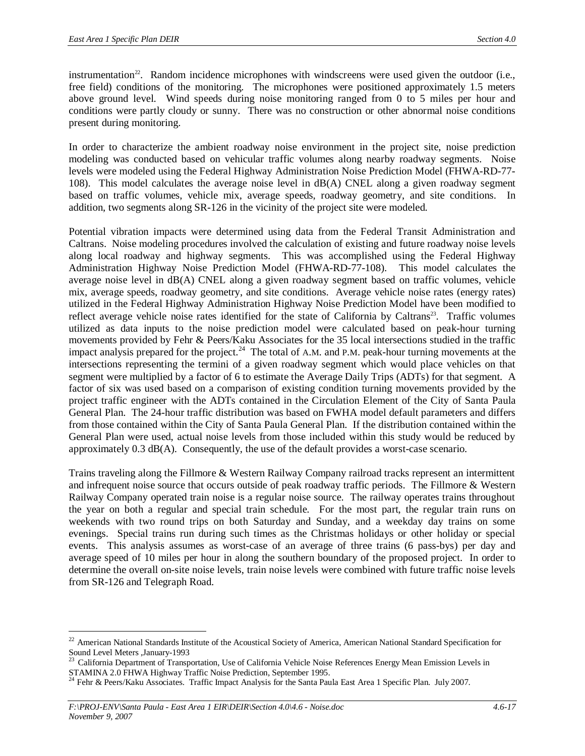instrumentation<sup>22</sup>. Random incidence microphones with windscreens were used given the outdoor (i.e., free field) conditions of the monitoring. The microphones were positioned approximately 1.5 meters above ground level. Wind speeds during noise monitoring ranged from 0 to 5 miles per hour and conditions were partly cloudy or sunny. There was no construction or other abnormal noise conditions present during monitoring.

In order to characterize the ambient roadway noise environment in the project site, noise prediction modeling was conducted based on vehicular traffic volumes along nearby roadway segments. Noise levels were modeled using the Federal Highway Administration Noise Prediction Model (FHWA-RD-77- 108). This model calculates the average noise level in dB(A) CNEL along a given roadway segment based on traffic volumes, vehicle mix, average speeds, roadway geometry, and site conditions. In addition, two segments along SR-126 in the vicinity of the project site were modeled.

Potential vibration impacts were determined using data from the Federal Transit Administration and Caltrans. Noise modeling procedures involved the calculation of existing and future roadway noise levels along local roadway and highway segments. This was accomplished using the Federal Highway Administration Highway Noise Prediction Model (FHWA-RD-77-108). This model calculates the average noise level in dB(A) CNEL along a given roadway segment based on traffic volumes, vehicle mix, average speeds, roadway geometry, and site conditions. Average vehicle noise rates (energy rates) utilized in the Federal Highway Administration Highway Noise Prediction Model have been modified to reflect average vehicle noise rates identified for the state of California by Caltrans<sup>23</sup>. Traffic volumes utilized as data inputs to the noise prediction model were calculated based on peak-hour turning movements provided by Fehr & Peers/Kaku Associates for the 35 local intersections studied in the traffic impact analysis prepared for the project.<sup>24</sup> The total of A.M. and P.M. peak-hour turning movements at the intersections representing the termini of a given roadway segment which would place vehicles on that segment were multiplied by a factor of 6 to estimate the Average Daily Trips (ADTs) for that segment. A factor of six was used based on a comparison of existing condition turning movements provided by the project traffic engineer with the ADTs contained in the Circulation Element of the City of Santa Paula General Plan. The 24-hour traffic distribution was based on FWHA model default parameters and differs from those contained within the City of Santa Paula General Plan. If the distribution contained within the General Plan were used, actual noise levels from those included within this study would be reduced by approximately 0.3 dB(A). Consequently, the use of the default provides a worst-case scenario.

Trains traveling along the Fillmore & Western Railway Company railroad tracks represent an intermittent and infrequent noise source that occurs outside of peak roadway traffic periods. The Fillmore & Western Railway Company operated train noise is a regular noise source. The railway operates trains throughout the year on both a regular and special train schedule. For the most part, the regular train runs on weekends with two round trips on both Saturday and Sunday, and a weekday day trains on some evenings. Special trains run during such times as the Christmas holidays or other holiday or special events. This analysis assumes as worst-case of an average of three trains (6 pass-bys) per day and average speed of 10 miles per hour in along the southern boundary of the proposed project. In order to determine the overall on-site noise levels, train noise levels were combined with future traffic noise levels from SR-126 and Telegraph Road.

<sup>&</sup>lt;sup>22</sup> American National Standards Institute of the Acoustical Society of America, American National Standard Specification for Sound Level Meters ,January-1993

<sup>23</sup> California Department of Transportation, Use of California Vehicle Noise References Energy Mean Emission Levels in STAMINA 2.0 FHWA Highway Traffic Noise Prediction, September 1995.

<sup>&</sup>lt;sup>24</sup> Fehr & Peers/Kaku Associates. Traffic Impact Analysis for the Santa Paula East Area 1 Specific Plan. July 2007.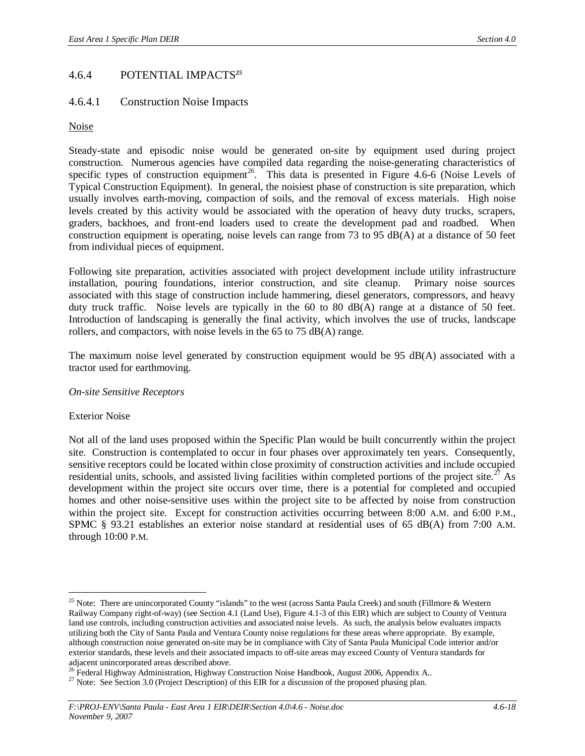# 4.6.4 POTENTIAL IMPACTS*<sup>25</sup>*

# 4.6.4.1 Construction Noise Impacts

#### **Noise**

Steady-state and episodic noise would be generated on-site by equipment used during project construction. Numerous agencies have compiled data regarding the noise-generating characteristics of specific types of construction equipment<sup>26</sup>. This data is presented in Figure  $4.6-6$  (Noise Levels of Typical Construction Equipment). In general, the noisiest phase of construction is site preparation, which usually involves earth-moving, compaction of soils, and the removal of excess materials. High noise levels created by this activity would be associated with the operation of heavy duty trucks, scrapers, graders, backhoes, and front-end loaders used to create the development pad and roadbed. When construction equipment is operating, noise levels can range from 73 to 95 dB(A) at a distance of 50 feet from individual pieces of equipment.

Following site preparation, activities associated with project development include utility infrastructure installation, pouring foundations, interior construction, and site cleanup. Primary noise sources associated with this stage of construction include hammering, diesel generators, compressors, and heavy duty truck traffic. Noise levels are typically in the 60 to 80 dB(A) range at a distance of 50 feet. Introduction of landscaping is generally the final activity, which involves the use of trucks, landscape rollers, and compactors, with noise levels in the 65 to 75 dB(A) range.

The maximum noise level generated by construction equipment would be 95 dB(A) associated with a tractor used for earthmoving.

#### *On-site Sensitive Receptors*

#### Exterior Noise

Not all of the land uses proposed within the Specific Plan would be built concurrently within the project site. Construction is contemplated to occur in four phases over approximately ten years. Consequently, sensitive receptors could be located within close proximity of construction activities and include occupied residential units, schools, and assisted living facilities within completed portions of the project site.<sup>27</sup> As development within the project site occurs over time, there is a potential for completed and occupied homes and other noise-sensitive uses within the project site to be affected by noise from construction within the project site. Except for construction activities occurring between 8:00 A.M. and 6:00 P.M., SPMC § 93.21 establishes an exterior noise standard at residential uses of 65 dB(A) from 7:00 A.M. through 10:00 P.M.

<sup>&</sup>lt;sup>25</sup> Note: There are unincorporated County "islands" to the west (across Santa Paula Creek) and south (Fillmore & Western Railway Company right-of-way) (see Section 4.1 (Land Use), Figure 4.1-3 of this EIR) which are subject to County of Ventura land use controls, including construction activities and associated noise levels. As such, the analysis below evaluates impacts utilizing both the City of Santa Paula and Ventura County noise regulations for these areas where appropriate. By example, although construction noise generated on-site may be in compliance with City of Santa Paula Municipal Code interior and/or exterior standards, these levels and their associated impacts to off-site areas may exceed County of Ventura standards for adjacent unincorporated areas described above.

<sup>&</sup>lt;sup>26</sup> Federal Highway Administration, Highway Construction Noise Handbook, August 2006, Appendix A..

<sup>&</sup>lt;sup>27</sup> Note: See Section 3.0 (Project Description) of this EIR for a discussion of the proposed phasing plan.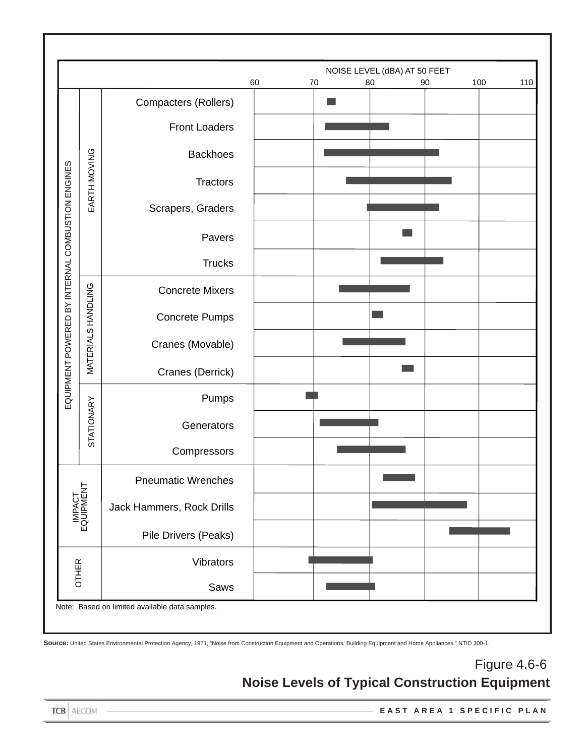|                                |                           |                                                | 60 | 70 | 80 | NOISE LEVEL (dBA) AT 50 FEET<br>90 | 100 | 110 |
|--------------------------------|---------------------------|------------------------------------------------|----|----|----|------------------------------------|-----|-----|
|                                |                           | Compacters (Rollers)                           |    |    |    |                                    |     |     |
|                                |                           | <b>Front Loaders</b>                           |    |    |    |                                    |     |     |
|                                |                           |                                                |    |    |    |                                    |     |     |
|                                | EARTH MOVING              | <b>Backhoes</b>                                |    |    |    |                                    |     |     |
|                                |                           | <b>Tractors</b>                                |    |    |    |                                    |     |     |
|                                |                           | Scrapers, Graders                              |    |    |    |                                    |     |     |
|                                |                           | Pavers                                         |    |    |    |                                    |     |     |
|                                |                           | <b>Trucks</b>                                  |    |    |    |                                    |     |     |
| BY INTERNAL COMBUSTION ENGINES |                           | <b>Concrete Mixers</b>                         |    |    |    |                                    |     |     |
|                                | <b>MATERIALS HANDLING</b> | <b>Concrete Pumps</b>                          |    |    |    |                                    |     |     |
| EQUIPMENT POWERED              |                           |                                                |    |    |    |                                    |     |     |
|                                |                           | Cranes (Movable)                               |    |    |    |                                    |     |     |
|                                |                           | Cranes (Derrick)                               |    |    |    |                                    |     |     |
|                                |                           | Pumps                                          |    |    |    |                                    |     |     |
|                                | STATIONARY                | Generators                                     |    |    |    |                                    |     |     |
|                                |                           | Compressors                                    |    |    |    |                                    |     |     |
|                                |                           | <b>Pneumatic Wrenches</b>                      |    |    |    |                                    |     |     |
|                                | IMPACT<br>EQUIPMENT       | Jack Hammers, Rock Drills                      |    |    |    |                                    |     |     |
|                                |                           |                                                |    |    |    |                                    |     |     |
|                                |                           | Pile Drivers (Peaks)                           |    |    |    |                                    |     |     |
| <b>OTHER</b>                   |                           | Vibrators                                      |    |    |    |                                    |     |     |
|                                |                           | Saws                                           |    |    |    |                                    |     |     |
|                                |                           | Note: Based on limited available data samples. |    |    |    |                                    |     |     |

# Figure 4.6-6 **Noise Levels of Typical Construction Equipment**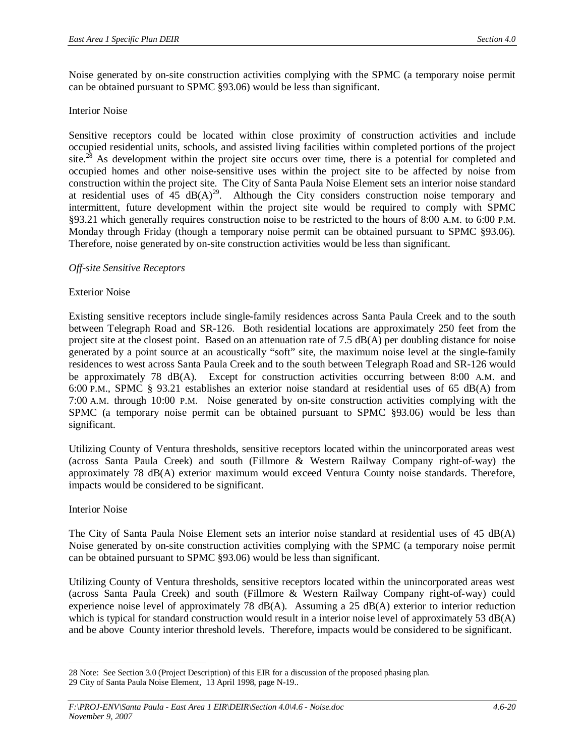Noise generated by on-site construction activities complying with the SPMC (a temporary noise permit can be obtained pursuant to SPMC §93.06) would be less than significant.

#### Interior Noise

Sensitive receptors could be located within close proximity of construction activities and include occupied residential units, schools, and assisted living facilities within completed portions of the project site.<sup>28</sup> As development within the project site occurs over time, there is a potential for completed and occupied homes and other noise-sensitive uses within the project site to be affected by noise from construction within the project site. The City of Santa Paula Noise Element sets an interior noise standard at residential uses of  $45\text{ dB}(A)^{29}$ . Although the City considers construction noise temporary and intermittent, future development within the project site would be required to comply with SPMC §93.21 which generally requires construction noise to be restricted to the hours of 8:00 A.M. to 6:00 P.M. Monday through Friday (though a temporary noise permit can be obtained pursuant to SPMC §93.06). Therefore, noise generated by on-site construction activities would be less than significant.

#### *Off-site Sensitive Receptors*

#### Exterior Noise

Existing sensitive receptors include single-family residences across Santa Paula Creek and to the south between Telegraph Road and SR-126. Both residential locations are approximately 250 feet from the project site at the closest point. Based on an attenuation rate of 7.5 dB(A) per doubling distance for noise generated by a point source at an acoustically "soft" site, the maximum noise level at the single-family residences to west across Santa Paula Creek and to the south between Telegraph Road and SR-126 would be approximately 78 dB(A). Except for construction activities occurring between 8:00 A.M. and 6:00 P.M., SPMC § 93.21 establishes an exterior noise standard at residential uses of 65 dB(A) from 7:00 A.M. through 10:00 P.M. Noise generated by on-site construction activities complying with the SPMC (a temporary noise permit can be obtained pursuant to SPMC §93.06) would be less than significant.

Utilizing County of Ventura thresholds, sensitive receptors located within the unincorporated areas west (across Santa Paula Creek) and south (Fillmore & Western Railway Company right-of-way) the approximately 78 dB(A) exterior maximum would exceed Ventura County noise standards. Therefore, impacts would be considered to be significant.

#### Interior Noise

The City of Santa Paula Noise Element sets an interior noise standard at residential uses of 45 dB(A) Noise generated by on-site construction activities complying with the SPMC (a temporary noise permit can be obtained pursuant to SPMC §93.06) would be less than significant.

Utilizing County of Ventura thresholds, sensitive receptors located within the unincorporated areas west (across Santa Paula Creek) and south (Fillmore & Western Railway Company right-of-way) could experience noise level of approximately 78 dB(A). Assuming a 25 dB(A) exterior to interior reduction which is typical for standard construction would result in a interior noise level of approximately 53 dB(A) and be above County interior threshold levels. Therefore, impacts would be considered to be significant.

<sup>28</sup> Note: See Section 3.0 (Project Description) of this EIR for a discussion of the proposed phasing plan. 29 City of Santa Paula Noise Element, 13 April 1998, page N-19..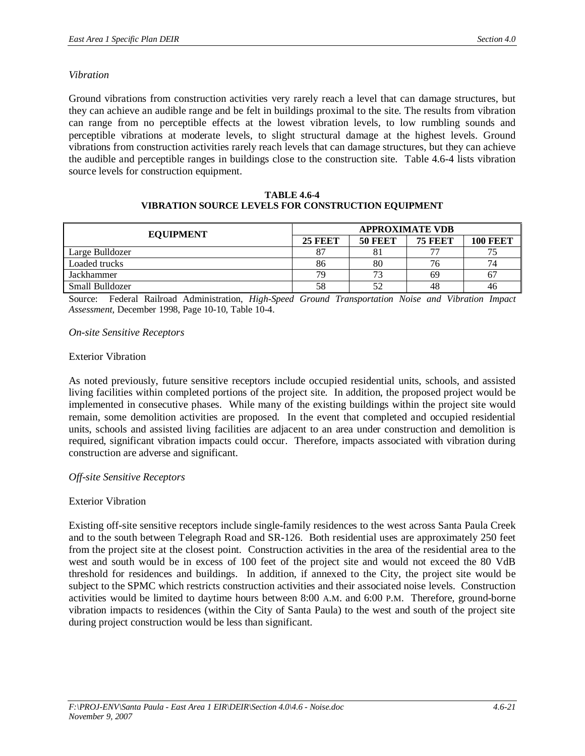#### *Vibration*

Ground vibrations from construction activities very rarely reach a level that can damage structures, but they can achieve an audible range and be felt in buildings proximal to the site. The results from vibration can range from no perceptible effects at the lowest vibration levels, to low rumbling sounds and perceptible vibrations at moderate levels, to slight structural damage at the highest levels. Ground vibrations from construction activities rarely reach levels that can damage structures, but they can achieve the audible and perceptible ranges in buildings close to the construction site. Table 4.6-4 lists vibration source levels for construction equipment.

| <b>EQUIPMENT</b> | <b>APPROXIMATE VDB</b> |                |                |                 |  |  |
|------------------|------------------------|----------------|----------------|-----------------|--|--|
|                  | <b>25 FEET</b>         | <b>50 FEET</b> | <b>75 FEET</b> | <b>100 FEET</b> |  |  |
| Large Bulldozer  |                        |                | 77             | 75              |  |  |
| Loaded trucks    | 86                     | 80             | 76             | 74              |  |  |
| Jackhammer       | 79                     |                | 69             | 67              |  |  |
| Small Bulldozer  | 58                     |                | 48             | 46              |  |  |

#### **TABLE 4.6-4 VIBRATION SOURCE LEVELS FOR CONSTRUCTION EQUIPMENT**

Source: Federal Railroad Administration, *High-Speed Ground Transportation Noise and Vibration Impact Assessment,* December 1998, Page 10-10, Table 10-4.

*On-site Sensitive Receptors*

#### Exterior Vibration

As noted previously, future sensitive receptors include occupied residential units, schools, and assisted living facilities within completed portions of the project site. In addition, the proposed project would be implemented in consecutive phases. While many of the existing buildings within the project site would remain, some demolition activities are proposed. In the event that completed and occupied residential units, schools and assisted living facilities are adjacent to an area under construction and demolition is required, significant vibration impacts could occur. Therefore, impacts associated with vibration during construction are adverse and significant.

#### *Off-site Sensitive Receptors*

# Exterior Vibration

Existing off-site sensitive receptors include single-family residences to the west across Santa Paula Creek and to the south between Telegraph Road and SR-126. Both residential uses are approximately 250 feet from the project site at the closest point. Construction activities in the area of the residential area to the west and south would be in excess of 100 feet of the project site and would not exceed the 80 VdB threshold for residences and buildings. In addition, if annexed to the City, the project site would be subject to the SPMC which restricts construction activities and their associated noise levels. Construction activities would be limited to daytime hours between 8:00 A.M. and 6:00 P.M. Therefore, ground-borne vibration impacts to residences (within the City of Santa Paula) to the west and south of the project site during project construction would be less than significant.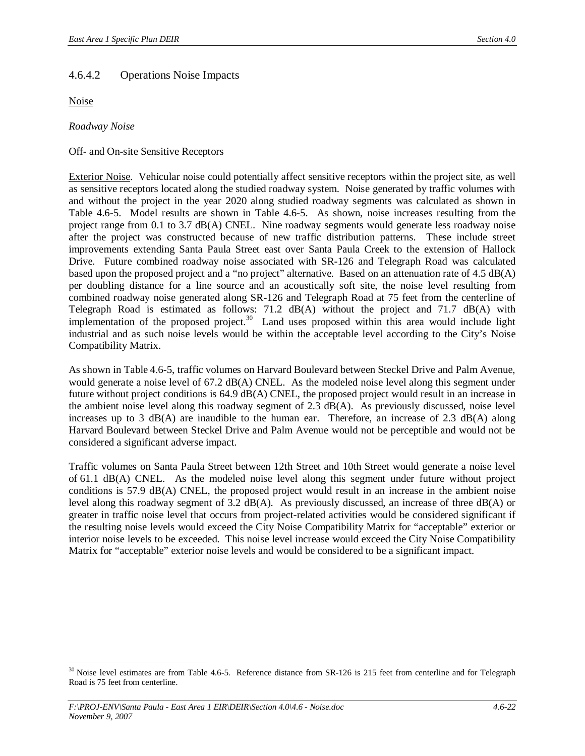# 4.6.4.2 Operations Noise Impacts

Noise

*Roadway Noise*

Off- and On-site Sensitive Receptors

Exterior Noise. Vehicular noise could potentially affect sensitive receptors within the project site, as well as sensitive receptors located along the studied roadway system. Noise generated by traffic volumes with and without the project in the year 2020 along studied roadway segments was calculated as shown in Table 4.6-5. Model results are shown in Table 4.6-5. As shown, noise increases resulting from the project range from 0.1 to 3.7 dB(A) CNEL. Nine roadway segments would generate less roadway noise after the project was constructed because of new traffic distribution patterns. These include street improvements extending Santa Paula Street east over Santa Paula Creek to the extension of Hallock Drive. Future combined roadway noise associated with SR-126 and Telegraph Road was calculated based upon the proposed project and a "no project" alternative. Based on an attenuation rate of 4.5 dB(A) per doubling distance for a line source and an acoustically soft site, the noise level resulting from combined roadway noise generated along SR-126 and Telegraph Road at 75 feet from the centerline of Telegraph Road is estimated as follows: 71.2 dB(A) without the project and 71.7 dB(A) with implementation of the proposed project.<sup>30</sup> Land uses proposed within this area would include light industrial and as such noise levels would be within the acceptable level according to the City's Noise Compatibility Matrix.

As shown in Table 4.6-5, traffic volumes on Harvard Boulevard between Steckel Drive and Palm Avenue, would generate a noise level of 67.2 dB(A) CNEL. As the modeled noise level along this segment under future without project conditions is 64.9 dB(A) CNEL, the proposed project would result in an increase in the ambient noise level along this roadway segment of 2.3 dB(A). As previously discussed, noise level increases up to 3 dB(A) are inaudible to the human ear. Therefore, an increase of 2.3 dB(A) along Harvard Boulevard between Steckel Drive and Palm Avenue would not be perceptible and would not be considered a significant adverse impact.

Traffic volumes on Santa Paula Street between 12th Street and 10th Street would generate a noise level of 61.1 dB(A) CNEL. As the modeled noise level along this segment under future without project conditions is 57.9 dB(A) CNEL, the proposed project would result in an increase in the ambient noise level along this roadway segment of 3.2 dB(A). As previously discussed, an increase of three dB(A) or greater in traffic noise level that occurs from project-related activities would be considered significant if the resulting noise levels would exceed the City Noise Compatibility Matrix for "acceptable" exterior or interior noise levels to be exceeded. This noise level increase would exceed the City Noise Compatibility Matrix for "acceptable" exterior noise levels and would be considered to be a significant impact.

<sup>&</sup>lt;sup>30</sup> Noise level estimates are from Table 4.6-5. Reference distance from SR-126 is 215 feet from centerline and for Telegraph Road is 75 feet from centerline.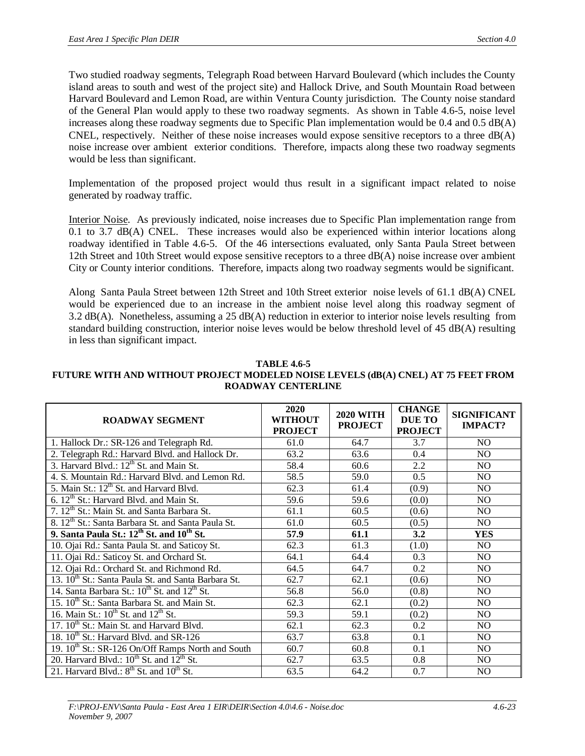Two studied roadway segments, Telegraph Road between Harvard Boulevard (which includes the County island areas to south and west of the project site) and Hallock Drive, and South Mountain Road between Harvard Boulevard and Lemon Road, are within Ventura County jurisdiction. The County noise standard of the General Plan would apply to these two roadway segments. As shown in Table 4.6-5, noise level increases along these roadway segments due to Specific Plan implementation would be 0.4 and 0.5 dB(A) CNEL, respectively. Neither of these noise increases would expose sensitive receptors to a three  $dB(A)$ noise increase over ambient exterior conditions. Therefore, impacts along these two roadway segments would be less than significant.

Implementation of the proposed project would thus result in a significant impact related to noise generated by roadway traffic.

Interior Noise. As previously indicated, noise increases due to Specific Plan implementation range from 0.1 to 3.7 dB(A) CNEL. These increases would also be experienced within interior locations along roadway identified in Table 4.6-5. Of the 46 intersections evaluated, only Santa Paula Street between 12th Street and 10th Street would expose sensitive receptors to a three dB(A) noise increase over ambient City or County interior conditions. Therefore, impacts along two roadway segments would be significant.

Along Santa Paula Street between 12th Street and 10th Street exterior noise levels of 61.1 dB(A) CNEL would be experienced due to an increase in the ambient noise level along this roadway segment of 3.2 dB(A). Nonetheless, assuming a 25 dB(A) reduction in exterior to interior noise levels resulting from standard building construction, interior noise leves would be below threshold level of 45 dB(A) resulting in less than significant impact.

| <b>TABLE 4.6-5</b>                                                                |
|-----------------------------------------------------------------------------------|
| FUTURE WITH AND WITHOUT PROJECT MODELED NOISE LEVELS (dB(A) CNEL) AT 75 FEET FROM |
| <b>ROADWAY CENTERLINE</b>                                                         |

| <b>ROADWAY SEGMENT</b>                                          | <b>2020</b><br>WITHOUT<br><b>PROJECT</b> | <b>2020 WITH</b><br><b>PROJECT</b> | <b>CHANGE</b><br>DUE TO<br><b>PROJECT</b> | <b>SIGNIFICANT</b><br><b>IMPACT?</b> |
|-----------------------------------------------------------------|------------------------------------------|------------------------------------|-------------------------------------------|--------------------------------------|
| 1. Hallock Dr.: SR-126 and Telegraph Rd.                        | 61.0                                     | 64.7                               | 3.7                                       | N <sub>O</sub>                       |
| 2. Telegraph Rd.: Harvard Blvd. and Hallock Dr.                 | 63.2                                     | 63.6                               | 0.4                                       | NO.                                  |
| 3. Harvard Blvd.: 12 <sup>th</sup> St. and Main St.             | 58.4                                     | 60.6                               | 2.2                                       | N <sub>O</sub>                       |
| 4. S. Mountain Rd.: Harvard Blvd. and Lemon Rd.                 | 58.5                                     | 59.0                               | 0.5                                       | N <sub>O</sub>                       |
| 5. Main St.: 12 <sup>th</sup> St. and Harvard Blvd.             | 62.3                                     | 61.4                               | (0.9)                                     | NO.                                  |
| 6. 12 <sup>th</sup> St.: Harvard Blvd. and Main St.             | 59.6                                     | 59.6                               | (0.0)                                     | N <sub>O</sub>                       |
| 7. 12 <sup>th</sup> St.: Main St. and Santa Barbara St.         | 61.1                                     | 60.5                               | (0.6)                                     | N <sub>O</sub>                       |
| 8. 12 <sup>th</sup> St.: Santa Barbara St. and Santa Paula St.  | 61.0                                     | 60.5                               | (0.5)                                     | N <sub>O</sub>                       |
| 9. Santa Paula St.: $12^{th}$ St. and $10^{th}$ St.             | 57.9                                     | 61.1                               | 3.2                                       | <b>YES</b>                           |
| 10. Ojai Rd.: Santa Paula St. and Saticoy St.                   | 62.3                                     | 61.3                               | (1.0)                                     | N <sub>O</sub>                       |
| 11. Ojai Rd.: Saticoy St. and Orchard St.                       | 64.1                                     | 64.4                               | 0.3                                       | N <sub>O</sub>                       |
| 12. Ojai Rd.: Orchard St. and Richmond Rd.                      | 64.5                                     | 64.7                               | 0.2                                       | N <sub>O</sub>                       |
| 13. 10 <sup>th</sup> St.: Santa Paula St. and Santa Barbara St. | 62.7                                     | 62.1                               | (0.6)                                     | NO.                                  |
| 14. Santa Barbara St.: $10^{th}$ St. and $12^{th}$ St.          | 56.8                                     | 56.0                               | (0.8)                                     | NO.                                  |
| 15. 10 <sup>th</sup> St.: Santa Barbara St. and Main St.        | 62.3                                     | 62.1                               | (0.2)                                     | NO.                                  |
| 16. Main St.: $10^{th}$ St. and $12^{th}$ St.                   | 59.3                                     | 59.1                               | (0.2)                                     | N <sub>O</sub>                       |
| 17. 10 <sup>th</sup> St.: Main St. and Harvard Blvd.            | 62.1                                     | 62.3                               | 0.2                                       | N <sub>O</sub>                       |
| 18. 10 <sup>th</sup> St.: Harvard Blvd. and SR-126              | 63.7                                     | 63.8                               | 0.1                                       | N <sub>O</sub>                       |
| 19. 10 <sup>th</sup> St.: SR-126 On/Off Ramps North and South   | 60.7                                     | 60.8                               | 0.1                                       | NO.                                  |
| 20. Harvard Blvd.: $10^{th}$ St. and $12^{th}$ St.              | 62.7                                     | 63.5                               | 0.8                                       | N <sub>O</sub>                       |
| 21. Harvard Blvd.: 8 <sup>th</sup> St. and 10 <sup>th</sup> St. | 63.5                                     | 64.2                               | 0.7                                       | NO                                   |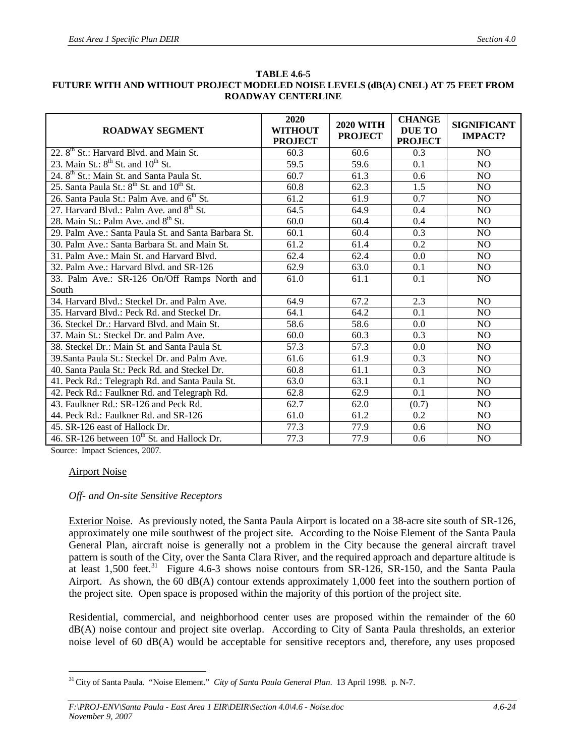| <b>ROADWAY SEGMENT</b>                                            | 2020<br><b>WITHOUT</b><br><b>PROJECT</b> | <b>2020 WITH</b><br><b>PROJECT</b> | <b>CHANGE</b><br><b>DUE TO</b><br><b>PROJECT</b> | <b>SIGNIFICANT</b><br><b>IMPACT?</b> |
|-------------------------------------------------------------------|------------------------------------------|------------------------------------|--------------------------------------------------|--------------------------------------|
| 22. 8 <sup>th</sup> St.: Harvard Blvd. and Main St.               | 60.3                                     | 60.6                               | 0.3                                              | <b>NO</b>                            |
| 23. Main St.: 8 <sup>th</sup> St. and 10 <sup>th</sup> St.        | 59.5                                     | 59.6                               | 0.1                                              | NO                                   |
| 24. 8 <sup>th</sup> St.: Main St. and Santa Paula St.             | 60.7                                     | 61.3                               | 0.6                                              | N <sub>O</sub>                       |
| 25. Santa Paula St.: 8 <sup>th</sup> St. and 10 <sup>th</sup> St. | 60.8                                     | 62.3                               | 1.5                                              | N <sub>O</sub>                       |
| 26. Santa Paula St.: Palm Ave. and 6 <sup>th</sup> St.            | 61.2                                     | 61.9                               | 0.7                                              | N <sub>O</sub>                       |
| 27. Harvard Blvd.: Palm Ave. and 8 <sup>th</sup> St.              | 64.5                                     | 64.9                               | 0.4                                              | N <sub>O</sub>                       |
| 28. Main St.: Palm Ave. and 8 <sup>th</sup> St.                   | 60.0                                     | 60.4                               | 0.4                                              | NO                                   |
| 29. Palm Ave.: Santa Paula St. and Santa Barbara St.              | 60.1                                     | 60.4                               | 0.3                                              | N <sub>O</sub>                       |
| 30. Palm Ave.: Santa Barbara St. and Main St.                     | 61.2                                     | 61.4                               | 0.2                                              | N <sub>O</sub>                       |
| 31. Palm Ave.: Main St. and Harvard Blvd.                         | 62.4                                     | 62.4                               | 0.0                                              | N <sub>O</sub>                       |
| 32. Palm Ave.: Harvard Blvd. and SR-126                           | 62.9                                     | 63.0                               | 0.1                                              | NO                                   |
| 33. Palm Ave.: SR-126 On/Off Ramps North and                      | 61.0                                     | $\overline{61.1}$                  | 0.1                                              | NO                                   |
| South                                                             |                                          |                                    |                                                  |                                      |
| 34. Harvard Blvd.: Steckel Dr. and Palm Ave.                      | 64.9                                     | 67.2                               | 2.3                                              | N <sub>O</sub>                       |
| 35. Harvard Blvd.: Peck Rd. and Steckel Dr.                       | 64.1                                     | 64.2                               | 0.1                                              | N <sub>O</sub>                       |
| 36. Steckel Dr.: Harvard Blvd. and Main St.                       | 58.6                                     | 58.6                               | 0.0                                              | N <sub>O</sub>                       |
| 37. Main St.: Steckel Dr. and Palm Ave.                           | 60.0                                     | 60.3                               | 0.3                                              | N <sub>O</sub>                       |
| 38. Steckel Dr.: Main St. and Santa Paula St.                     | 57.3                                     | 57.3                               | 0.0                                              | N <sub>O</sub>                       |
| 39. Santa Paula St.: Steckel Dr. and Palm Ave.                    | 61.6                                     | 61.9                               | 0.3                                              | N <sub>O</sub>                       |
| 40. Santa Paula St.: Peck Rd. and Steckel Dr.                     | 60.8                                     | 61.1                               | 0.3                                              | NO                                   |
| 41. Peck Rd.: Telegraph Rd. and Santa Paula St.                   | 63.0                                     | 63.1                               | 0.1                                              | N <sub>O</sub>                       |
| 42. Peck Rd.: Faulkner Rd. and Telegraph Rd.                      | 62.8                                     | 62.9                               | 0.1                                              | N <sub>O</sub>                       |
| 43. Faulkner Rd.: SR-126 and Peck Rd.                             | 62.7                                     | 62.0                               | (0.7)                                            | N <sub>O</sub>                       |
| 44. Peck Rd.: Faulkner Rd. and SR-126                             | 61.0                                     | 61.2                               | 0.2                                              | N <sub>O</sub>                       |
| 45. SR-126 east of Hallock Dr.                                    | 77.3                                     | 77.9                               | 0.6                                              | N <sub>O</sub>                       |
| 46. SR-126 between 10 <sup>th</sup> St. and Hallock Dr.           | 77.3                                     | 77.9                               | 0.6                                              | N <sub>O</sub>                       |

#### **TABLE 4.6-5 FUTURE WITH AND WITHOUT PROJECT MODELED NOISE LEVELS (dB(A) CNEL) AT 75 FEET FROM ROADWAY CENTERLINE**

Source: Impact Sciences, 2007.

#### Airport Noise

#### *Off- and On-site Sensitive Receptors*

Exterior Noise. As previously noted, the Santa Paula Airport is located on a 38-acre site south of SR-126, approximately one mile southwest of the project site. According to the Noise Element of the Santa Paula General Plan, aircraft noise is generally not a problem in the City because the general aircraft travel pattern is south of the City, over the Santa Clara River, and the required approach and departure altitude is at least 1,500 feet.<sup>31</sup> Figure 4.6-3 shows noise contours from  $SR-126$ ,  $SR-150$ , and the Santa Paula Airport. As shown, the 60 dB(A) contour extends approximately 1,000 feet into the southern portion of the project site. Open space is proposed within the majority of this portion of the project site.

Residential, commercial, and neighborhood center uses are proposed within the remainder of the 60 dB(A) noise contour and project site overlap. According to City of Santa Paula thresholds, an exterior noise level of 60 dB(A) would be acceptable for sensitive receptors and, therefore, any uses proposed

<sup>31</sup>City of Santa Paula. "Noise Element." *City of Santa Paula General Plan*. 13 April 1998. p. N-7.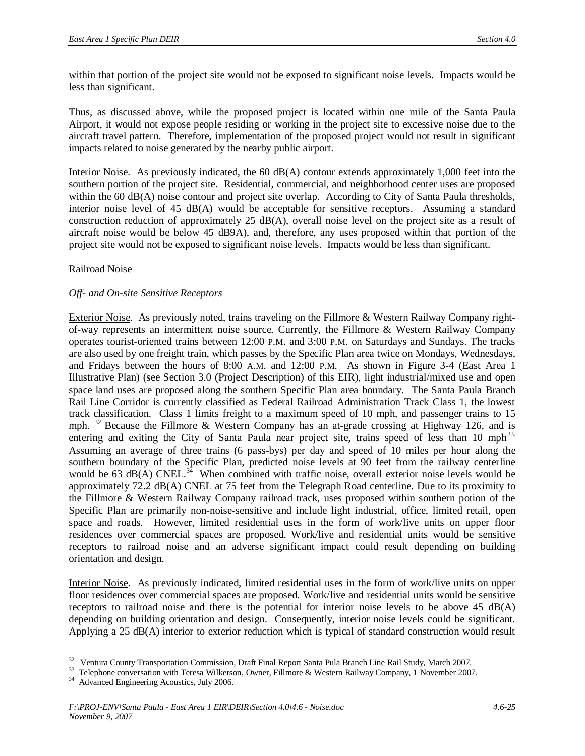within that portion of the project site would not be exposed to significant noise levels. Impacts would be less than significant.

Thus, as discussed above, while the proposed project is located within one mile of the Santa Paula Airport, it would not expose people residing or working in the project site to excessive noise due to the aircraft travel pattern. Therefore, implementation of the proposed project would not result in significant impacts related to noise generated by the nearby public airport.

Interior Noise. As previously indicated, the  $60 \text{ dB}(A)$  contour extends approximately 1,000 feet into the southern portion of the project site. Residential, commercial, and neighborhood center uses are proposed within the 60 dB(A) noise contour and project site overlap. According to City of Santa Paula thresholds. interior noise level of 45 dB(A) would be acceptable for sensitive receptors. Assuming a standard construction reduction of approximately 25 dB(A), overall noise level on the project site as a result of aircraft noise would be below 45 dB9A), and, therefore, any uses proposed within that portion of the project site would not be exposed to significant noise levels. Impacts would be less than significant.

#### Railroad Noise

#### *Off- and On-site Sensitive Receptors*

Exterior Noise. As previously noted, trains traveling on the Fillmore & Western Railway Company rightof-way represents an intermittent noise source. Currently, the Fillmore & Western Railway Company operates tourist-oriented trains between 12:00 P.M. and 3:00 P.M. on Saturdays and Sundays. The tracks are also used by one freight train, which passes by the Specific Plan area twice on Mondays, Wednesdays, and Fridays between the hours of 8:00 A.M. and 12:00 P.M. As shown in Figure 3-4 (East Area 1 Illustrative Plan) (see Section 3.0 (Project Description) of this EIR), light industrial/mixed use and open space land uses are proposed along the southern Specific Plan area boundary. The Santa Paula Branch Rail Line Corridor is currently classified as Federal Railroad Administration Track Class 1, the lowest track classification. Class 1 limits freight to a maximum speed of 10 mph, and passenger trains to 15 mph.  $32$  Because the Fillmore & Western Company has an at-grade crossing at Highway 126, and is entering and exiting the City of Santa Paula near project site, trains speed of less than 10 mph<sup>33.</sup> Assuming an average of three trains (6 pass-bys) per day and speed of 10 miles per hour along the southern boundary of the Specific Plan, predicted noise levels at 90 feet from the railway centerline would be 63  $dB(A)$  CNEL.<sup>34</sup> When combined with traffic noise, overall exterior noise levels would be approximately 72.2 dB(A) CNEL at 75 feet from the Telegraph Road centerline. Due to its proximity to the Fillmore & Western Railway Company railroad track, uses proposed within southern potion of the Specific Plan are primarily non-noise-sensitive and include light industrial, office, limited retail, open space and roads. However, limited residential uses in the form of work/live units on upper floor residences over commercial spaces are proposed. Work/live and residential units would be sensitive receptors to railroad noise and an adverse significant impact could result depending on building orientation and design.

Interior Noise. As previously indicated, limited residential uses in the form of work/live units on upper floor residences over commercial spaces are proposed. Work/live and residential units would be sensitive receptors to railroad noise and there is the potential for interior noise levels to be above 45  $dB(A)$ depending on building orientation and design. Consequently, interior noise levels could be significant. Applying a 25 dB(A) interior to exterior reduction which is typical of standard construction would result

<sup>&</sup>lt;sup>32</sup> Ventura County Transportation Commission, Draft Final Report Santa Pula Branch Line Rail Study, March 2007.

<sup>&</sup>lt;sup>33</sup> Telephone conversation with Teresa Wilkerson, Owner, Fillmore & Western Railway Company, 1 November 2007.

<sup>&</sup>lt;sup>34</sup> Advanced Engineering Acoustics, July 2006.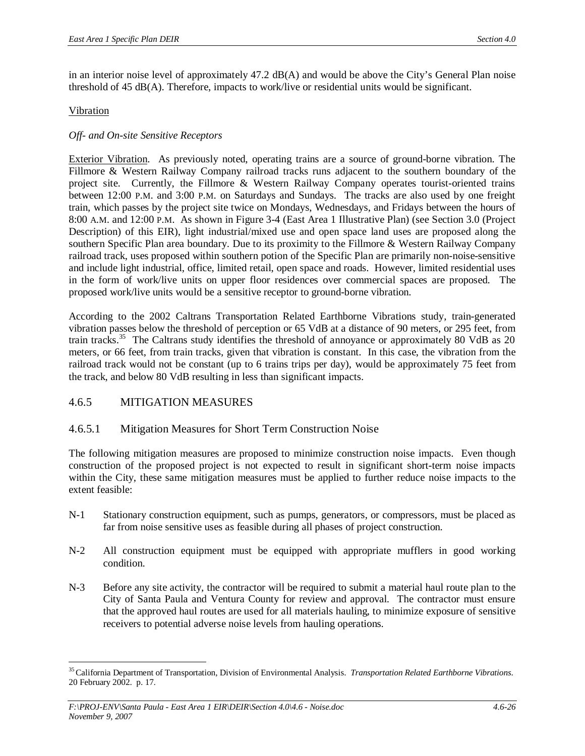in an interior noise level of approximately  $47.2 \text{ dB}(A)$  and would be above the City's General Plan noise threshold of 45 dB(A). Therefore, impacts to work/live or residential units would be significant.

## Vibration

## *Off- and On-site Sensitive Receptors*

Exterior Vibration. As previously noted, operating trains are a source of ground-borne vibration. The Fillmore & Western Railway Company railroad tracks runs adjacent to the southern boundary of the project site. Currently, the Fillmore & Western Railway Company operates tourist-oriented trains between 12:00 P.M. and 3:00 P.M. on Saturdays and Sundays. The tracks are also used by one freight train, which passes by the project site twice on Mondays, Wednesdays, and Fridays between the hours of 8:00 A.M. and 12:00 P.M. As shown in Figure 3-4 (East Area 1 Illustrative Plan) (see Section 3.0 (Project Description) of this EIR), light industrial/mixed use and open space land uses are proposed along the southern Specific Plan area boundary. Due to its proximity to the Fillmore & Western Railway Company railroad track, uses proposed within southern potion of the Specific Plan are primarily non-noise-sensitive and include light industrial, office, limited retail, open space and roads. However, limited residential uses in the form of work/live units on upper floor residences over commercial spaces are proposed. The proposed work/live units would be a sensitive receptor to ground-borne vibration.

According to the 2002 Caltrans Transportation Related Earthborne Vibrations study, train-generated vibration passes below the threshold of perception or 65 VdB at a distance of 90 meters, or 295 feet, from train tracks.<sup>35</sup> The Caltrans study identifies the threshold of annoyance or approximately 80 VdB as 20 meters, or 66 feet, from train tracks, given that vibration is constant. In this case, the vibration from the railroad track would not be constant (up to 6 trains trips per day), would be approximately 75 feet from the track, and below 80 VdB resulting in less than significant impacts.

# 4.6.5 MITIGATION MEASURES

# 4.6.5.1 Mitigation Measures for Short Term Construction Noise

The following mitigation measures are proposed to minimize construction noise impacts. Even though construction of the proposed project is not expected to result in significant short-term noise impacts within the City, these same mitigation measures must be applied to further reduce noise impacts to the extent feasible:

- N-1 Stationary construction equipment, such as pumps, generators, or compressors, must be placed as far from noise sensitive uses as feasible during all phases of project construction.
- N-2 All construction equipment must be equipped with appropriate mufflers in good working condition.
- N-3 Before any site activity, the contractor will be required to submit a material haul route plan to the City of Santa Paula and Ventura County for review and approval. The contractor must ensure that the approved haul routes are used for all materials hauling, to minimize exposure of sensitive receivers to potential adverse noise levels from hauling operations.

<sup>35</sup>California Department of Transportation, Division of Environmental Analysis. *Transportation Related Earthborne Vibrations*. 20 February 2002. p. 17.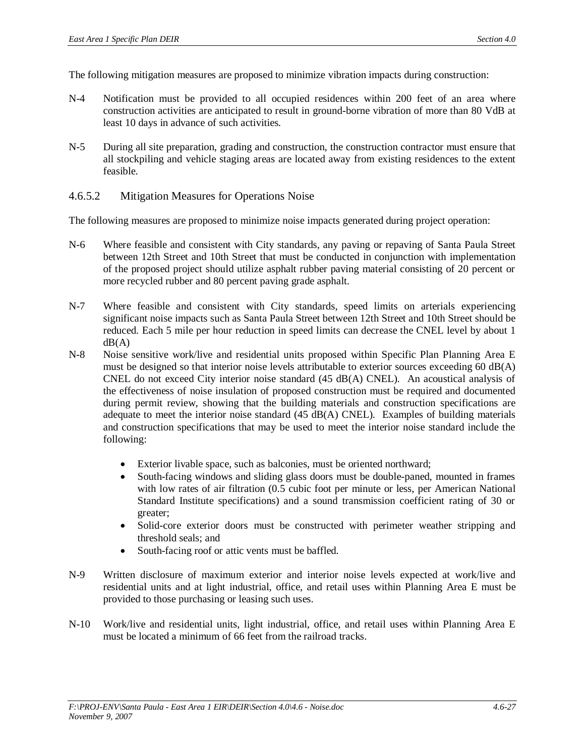The following mitigation measures are proposed to minimize vibration impacts during construction:

- N-4 Notification must be provided to all occupied residences within 200 feet of an area where construction activities are anticipated to result in ground-borne vibration of more than 80 VdB at least 10 days in advance of such activities.
- N-5 During all site preparation, grading and construction, the construction contractor must ensure that all stockpiling and vehicle staging areas are located away from existing residences to the extent feasible.
- 4.6.5.2 Mitigation Measures for Operations Noise

The following measures are proposed to minimize noise impacts generated during project operation:

- N-6 Where feasible and consistent with City standards, any paving or repaving of Santa Paula Street between 12th Street and 10th Street that must be conducted in conjunction with implementation of the proposed project should utilize asphalt rubber paving material consisting of 20 percent or more recycled rubber and 80 percent paving grade asphalt.
- N-7 Where feasible and consistent with City standards, speed limits on arterials experiencing significant noise impacts such as Santa Paula Street between 12th Street and 10th Street should be reduced. Each 5 mile per hour reduction in speed limits can decrease the CNEL level by about 1  $dB(A)$
- N-8 Noise sensitive work/live and residential units proposed within Specific Plan Planning Area E must be designed so that interior noise levels attributable to exterior sources exceeding 60 dB(A) CNEL do not exceed City interior noise standard (45 dB(A) CNEL). An acoustical analysis of the effectiveness of noise insulation of proposed construction must be required and documented during permit review, showing that the building materials and construction specifications are adequate to meet the interior noise standard (45 dB(A) CNEL). Examples of building materials and construction specifications that may be used to meet the interior noise standard include the following:
	- Exterior livable space, such as balconies, must be oriented northward;
	- South-facing windows and sliding glass doors must be double-paned, mounted in frames with low rates of air filtration (0.5 cubic foot per minute or less, per American National Standard Institute specifications) and a sound transmission coefficient rating of 30 or greater;
	- Solid-core exterior doors must be constructed with perimeter weather stripping and threshold seals; and
	- South-facing roof or attic vents must be baffled.
- N-9 Written disclosure of maximum exterior and interior noise levels expected at work/live and residential units and at light industrial, office, and retail uses within Planning Area E must be provided to those purchasing or leasing such uses.
- N-10 Work/live and residential units, light industrial, office, and retail uses within Planning Area E must be located a minimum of 66 feet from the railroad tracks.